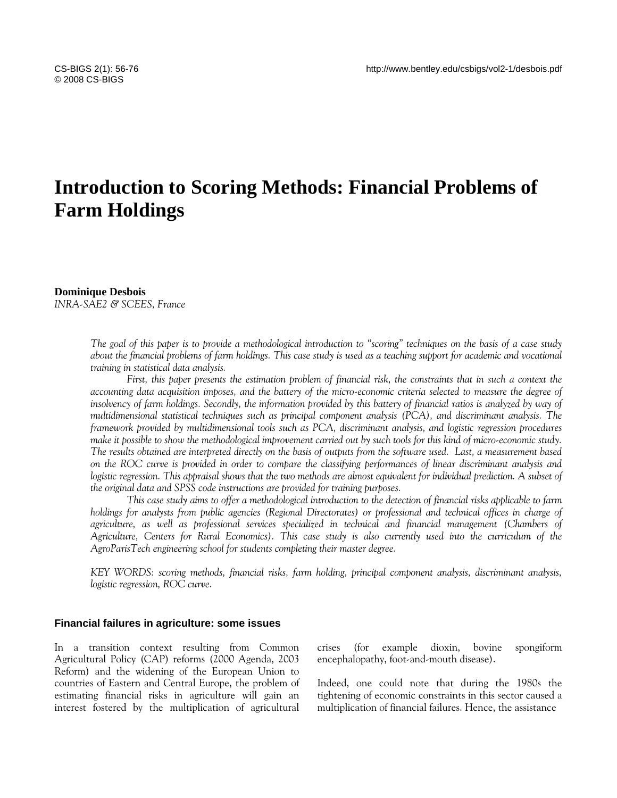# **Introduction to Scoring Methods: Financial Problems of Farm Holdings**

#### **Dominique Desbois**

*INRA-SAE2 & SCEES, France* 

*The goal of this paper is to provide a methodological introduction to "scoring" techniques on the basis of a case study about the financial problems of farm holdings. This case study is used as a teaching support for academic and vocational training in statistical data analysis.* 

*First, this paper presents the estimation problem of financial risk, the constraints that in such a context the accounting data acquisition imposes, and the battery of the micro-economic criteria selected to measure the degree of insolvency of farm holdings. Secondly, the information provided by this battery of financial ratios is analyzed by way of multidimensional statistical techniques such as principal component analysis (PCA), and discriminant analysis. The framework provided by multidimensional tools such as PCA, discriminant analysis, and logistic regression procedures make it possible to show the methodological improvement carried out by such tools for this kind of micro-economic study. The results obtained are interpreted directly on the basis of outputs from the software used. Last, a measurement based on the ROC curve is provided in order to compare the classifying performances of linear discriminant analysis and logistic regression. This appraisal shows that the two methods are almost equivalent for individual prediction. A subset of the original data and SPSS code instructions are provided for training purposes.* 

*This case study aims to offer a methodological introduction to the detection of financial risks applicable to farm holdings for analysts from public agencies (Regional Directorates) or professional and technical offices in charge of agriculture, as well as professional services specialized in technical and financial management (Chambers of Agriculture, Centers for Rural Economics). This case study is also currently used into the curriculum of the AgroParisTech engineering school for students completing their master degree.* 

*KEY WORDS: scoring methods, financial risks, farm holding, principal component analysis, discriminant analysis, logistic regression, ROC curve.* 

#### **Financial failures in agriculture: some issues**

In a transition context resulting from Common Agricultural Policy (CAP) reforms (2000 Agenda, 2003 Reform) and the widening of the European Union to countries of Eastern and Central Europe, the problem of estimating financial risks in agriculture will gain an interest fostered by the multiplication of agricultural crises (for example dioxin, bovine spongiform encephalopathy, foot-and-mouth disease).

Indeed, one could note that during the 1980s the tightening of economic constraints in this sector caused a multiplication of financial failures. Hence, the assistance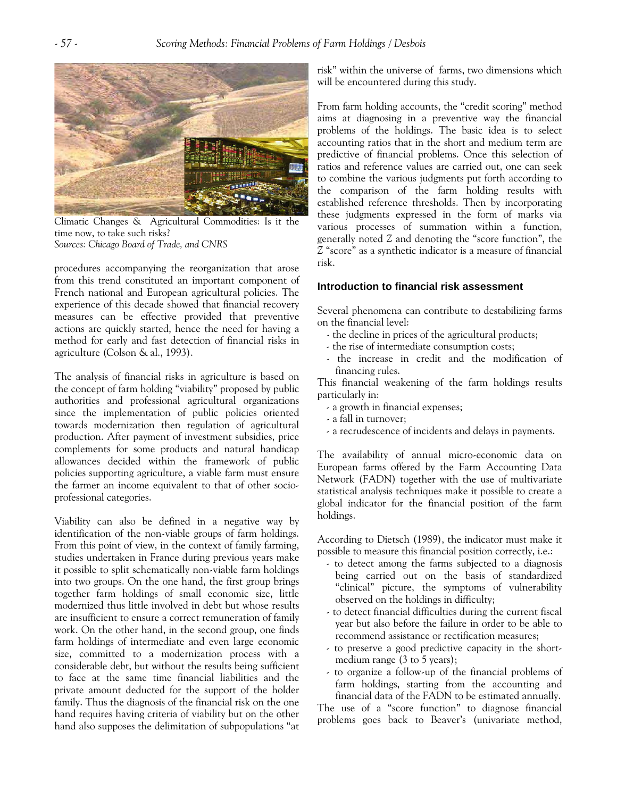

Climatic Changes & Agricultural Commodities: Is it the time now, to take such risks? *Sources: Chicago Board of Trade, and CNRS* 

procedures accompanying the reorganization that arose from this trend constituted an important component of French national and European agricultural policies. The experience of this decade showed that financial recovery measures can be effective provided that preventive actions are quickly started, hence the need for having a method for early and fast detection of financial risks in agriculture (Colson & al., 1993).

The analysis of financial risks in agriculture is based on the concept of farm holding "viability" proposed by public authorities and professional agricultural organizations since the implementation of public policies oriented towards modernization then regulation of agricultural production. After payment of investment subsidies, price complements for some products and natural handicap allowances decided within the framework of public policies supporting agriculture, a viable farm must ensure the farmer an income equivalent to that of other socioprofessional categories.

Viability can also be defined in a negative way by identification of the non-viable groups of farm holdings. From this point of view, in the context of family farming, studies undertaken in France during previous years make it possible to split schematically non-viable farm holdings into two groups. On the one hand, the first group brings together farm holdings of small economic size, little modernized thus little involved in debt but whose results are insufficient to ensure a correct remuneration of family work. On the other hand, in the second group, one finds farm holdings of intermediate and even large economic size, committed to a modernization process with a considerable debt, but without the results being sufficient to face at the same time financial liabilities and the private amount deducted for the support of the holder family. Thus the diagnosis of the financial risk on the one hand requires having criteria of viability but on the other hand also supposes the delimitation of subpopulations "at

risk" within the universe of farms, two dimensions which will be encountered during this study.

From farm holding accounts, the "credit scoring" method aims at diagnosing in a preventive way the financial problems of the holdings. The basic idea is to select accounting ratios that in the short and medium term are predictive of financial problems. Once this selection of ratios and reference values are carried out, one can seek to combine the various judgments put forth according to the comparison of the farm holding results with established reference thresholds. Then by incorporating these judgments expressed in the form of marks via various processes of summation within a function, generally noted *Z* and denoting the "score function", the *Z* "score" as a synthetic indicator is a measure of financial risk.

#### **Introduction to financial risk assessment**

Several phenomena can contribute to destabilizing farms on the financial level:

- the decline in prices of the agricultural products;
- the rise of intermediate consumption costs;
- the increase in credit and the modification of financing rules.

This financial weakening of the farm holdings results particularly in:

- a growth in financial expenses;
- a fall in turnover;
- a recrudescence of incidents and delays in payments.

The availability of annual micro-economic data on European farms offered by the Farm Accounting Data Network (FADN) together with the use of multivariate statistical analysis techniques make it possible to create a global indicator for the financial position of the farm holdings.

According to Dietsch (1989), the indicator must make it possible to measure this financial position correctly, i.e.:

- to detect among the farms subjected to a diagnosis being carried out on the basis of standardized "clinical" picture, the symptoms of vulnerability observed on the holdings in difficulty;
- to detect financial difficulties during the current fiscal year but also before the failure in order to be able to recommend assistance or rectification measures;
- to preserve a good predictive capacity in the shortmedium range (3 to 5 years);
- to organize a follow-up of the financial problems of farm holdings, starting from the accounting and financial data of the FADN to be estimated annually.

The use of a "score function" to diagnose financial problems goes back to Beaver's (univariate method,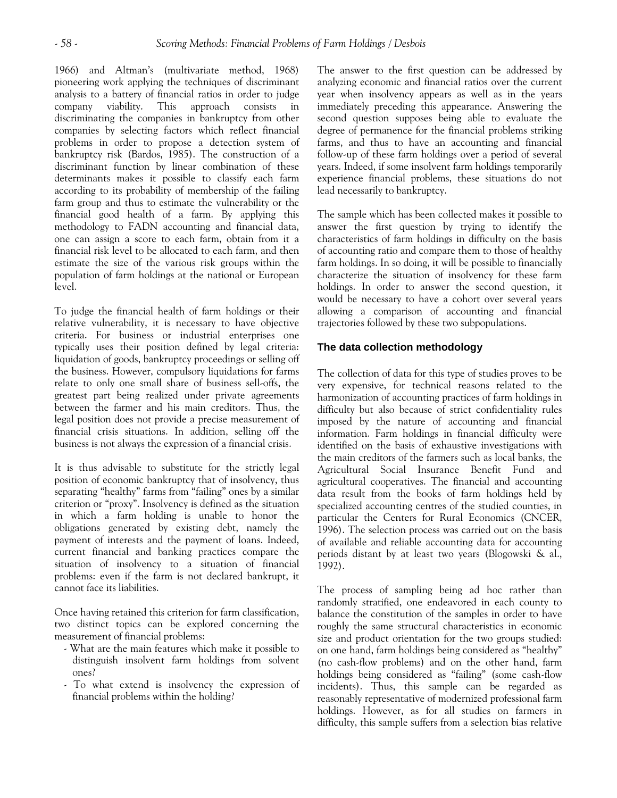1966) and Altman's (multivariate method, 1968) pioneering work applying the techniques of discriminant analysis to a battery of financial ratios in order to judge company viability. This approach consists in discriminating the companies in bankruptcy from other companies by selecting factors which reflect financial problems in order to propose a detection system of bankruptcy risk (Bardos, 1985). The construction of a discriminant function by linear combination of these determinants makes it possible to classify each farm according to its probability of membership of the failing farm group and thus to estimate the vulnerability or the financial good health of a farm. By applying this methodology to FADN accounting and financial data, one can assign a score to each farm, obtain from it a financial risk level to be allocated to each farm, and then estimate the size of the various risk groups within the population of farm holdings at the national or European level.

To judge the financial health of farm holdings or their relative vulnerability, it is necessary to have objective criteria. For business or industrial enterprises one typically uses their position defined by legal criteria: liquidation of goods, bankruptcy proceedings or selling off the business. However, compulsory liquidations for farms relate to only one small share of business sell-offs, the greatest part being realized under private agreements between the farmer and his main creditors. Thus, the legal position does not provide a precise measurement of financial crisis situations. In addition, selling off the business is not always the expression of a financial crisis.

It is thus advisable to substitute for the strictly legal position of economic bankruptcy that of insolvency, thus separating "healthy" farms from "failing" ones by a similar criterion or "proxy". Insolvency is defined as the situation in which a farm holding is unable to honor the obligations generated by existing debt, namely the payment of interests and the payment of loans. Indeed, current financial and banking practices compare the situation of insolvency to a situation of financial problems: even if the farm is not declared bankrupt, it cannot face its liabilities.

Once having retained this criterion for farm classification, two distinct topics can be explored concerning the measurement of financial problems:

- What are the main features which make it possible to distinguish insolvent farm holdings from solvent ones?
- To what extend is insolvency the expression of financial problems within the holding?

The answer to the first question can be addressed by analyzing economic and financial ratios over the current year when insolvency appears as well as in the years immediately preceding this appearance. Answering the second question supposes being able to evaluate the degree of permanence for the financial problems striking farms, and thus to have an accounting and financial follow-up of these farm holdings over a period of several years. Indeed, if some insolvent farm holdings temporarily experience financial problems, these situations do not lead necessarily to bankruptcy.

The sample which has been collected makes it possible to answer the first question by trying to identify the characteristics of farm holdings in difficulty on the basis of accounting ratio and compare them to those of healthy farm holdings. In so doing, it will be possible to financially characterize the situation of insolvency for these farm holdings. In order to answer the second question, it would be necessary to have a cohort over several years allowing a comparison of accounting and financial trajectories followed by these two subpopulations.

# **The data collection methodology**

The collection of data for this type of studies proves to be very expensive, for technical reasons related to the harmonization of accounting practices of farm holdings in difficulty but also because of strict confidentiality rules imposed by the nature of accounting and financial information. Farm holdings in financial difficulty were identified on the basis of exhaustive investigations with the main creditors of the farmers such as local banks, the Agricultural Social Insurance Benefit Fund and agricultural cooperatives. The financial and accounting data result from the books of farm holdings held by specialized accounting centres of the studied counties, in particular the Centers for Rural Economics (CNCER, 1996). The selection process was carried out on the basis of available and reliable accounting data for accounting periods distant by at least two years (Blogowski & al., 1992).

The process of sampling being ad hoc rather than randomly stratified, one endeavored in each county to balance the constitution of the samples in order to have roughly the same structural characteristics in economic size and product orientation for the two groups studied: on one hand, farm holdings being considered as "healthy" (no cash-flow problems) and on the other hand, farm holdings being considered as "failing" (some cash-flow incidents). Thus, this sample can be regarded as reasonably representative of modernized professional farm holdings. However, as for all studies on farmers in difficulty, this sample suffers from a selection bias relative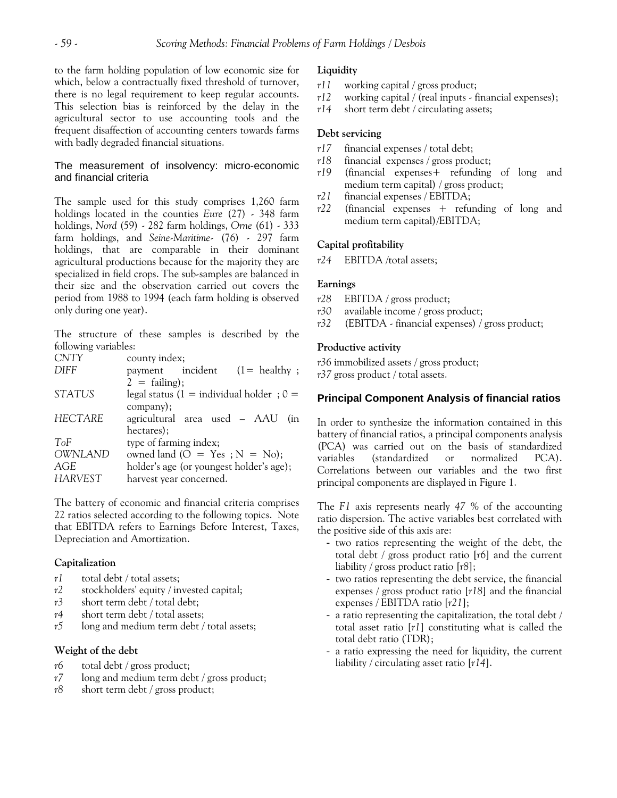to the farm holding population of low economic size for which, below a contractually fixed threshold of turnover, there is no legal requirement to keep regular accounts. This selection bias is reinforced by the delay in the agricultural sector to use accounting tools and the frequent disaffection of accounting centers towards farms with badly degraded financial situations.

# The measurement of insolvency: micro-economic and financial criteria

The sample used for this study comprises 1,260 farm holdings located in the counties *Eure* (27) - 348 farm holdings, *Nord* (59) - 282 farm holdings, *Orne* (61) - 333 farm holdings, and *Seine-Maritime*- (76) - 297 farm holdings, that are comparable in their dominant agricultural productions because for the majority they are specialized in field crops. The sub-samples are balanced in their size and the observation carried out covers the period from 1988 to 1994 (each farm holding is observed only during one year).

The structure of these samples is described by the following variables:

| <b>CNTY</b>    | county index;                              |
|----------------|--------------------------------------------|
| <b>DIFF</b>    | incident $(1=$ healthy;<br>payment         |
|                | $2 = \text{failure};$                      |
| <b>STATUS</b>  | legal status (1 = individual holder; $0 =$ |
|                | company);                                  |
| <b>HECTARE</b> | agricultural area used - AAU<br>(in        |
|                | hectares);                                 |
| ToF            | type of farming index;                     |
| OWNLAND        | owned land $(O = Yes ; N = No);$           |
| AGE            | holder's age (or youngest holder's age);   |
| <b>HARVEST</b> | harvest year concerned.                    |

The battery of economic and financial criteria comprises 22 ratios selected according to the following topics. Note that EBITDA refers to Earnings Before Interest, Taxes, Depreciation and Amortization.

# **Capitalization**

- *r1* total debt / total assets;
- *r2* stockholders' equity / invested capital;
- *r3* short term debt / total debt;
- *r4* short term debt / total assets;
- *r5* long and medium term debt / total assets;

#### **Weight of the debt**

- *r6* total debt / gross product;
- *r7* long and medium term debt / gross product;
- *r8* short term debt / gross product;

# **Liquidity**

- *r11* working capital / gross product;
- *r12* working capital / (real inputs financial expenses);
- *r14* short term debt / circulating assets;

# **Debt servicing**

- *r17* financial expenses / total debt;
- *r18* financial expenses / gross product;
- *r19* (financial expenses+ refunding of long and medium term capital) / gross product;
- *r21* financial expenses / EBITDA;
- *r22* (financial expenses + refunding of long and medium term capital)/EBITDA;

# **Capital profitability**

*r24* EBITDA /total assets;

# **Earnings**

- *r28* EBITDA / gross product;
- *r30* available income / gross product;
- *r32* (EBITDA financial expenses) / gross product;

# **Productive activity**

*r36* immobilized assets / gross product; *r37* gross product / total assets.

# **Principal Component Analysis of financial ratios**

In order to synthesize the information contained in this battery of financial ratios, a principal components analysis (PCA) was carried out on the basis of standardized variables (standardized or normalized PCA). Correlations between our variables and the two first principal components are displayed in Figure 1.

The *F1* axis represents nearly *47 %* of the accounting ratio dispersion. The active variables best correlated with the positive side of this axis are:

- two ratios representing the weight of the debt, the total debt / gross product ratio [*r6*] and the current liability / gross product ratio [*r8*];
- two ratios representing the debt service, the financial expenses / gross product ratio [*r18*] and the financial expenses / EBITDA ratio [*r21*];
- a ratio representing the capitalization, the total debt / total asset ratio [*r1*] constituting what is called the total debt ratio (TDR);
- a ratio expressing the need for liquidity, the current liability / circulating asset ratio [*r14*].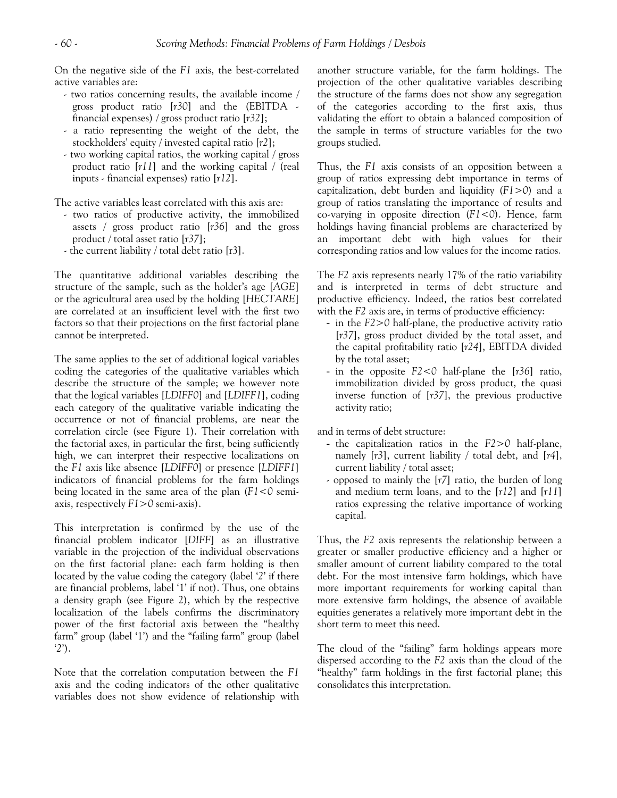On the negative side of the *F1* axis, the best-correlated active variables are:

- two ratios concerning results, the available income / gross product ratio [*r30*] and the (EBITDA financial expenses) / gross product ratio [*r32*];
- a ratio representing the weight of the debt, the stockholders' equity / invested capital ratio [*r2*];
- two working capital ratios, the working capital / gross product ratio [*r11*] and the working capital / (real inputs - financial expenses) ratio [*r12*].

The active variables least correlated with this axis are:

- two ratios of productive activity, the immobilized assets / gross product ratio [*r36*] and the gross product / total asset ratio [*r37*];
- the current liability / total debt ratio [r3].

The quantitative additional variables describing the structure of the sample, such as the holder's age [*AGE*] or the agricultural area used by the holding [*HECTARE*] are correlated at an insufficient level with the first two factors so that their projections on the first factorial plane cannot be interpreted.

The same applies to the set of additional logical variables coding the categories of the qualitative variables which describe the structure of the sample; we however note that the logical variables [*LDIFF0*] and [*LDIFF1*], coding each category of the qualitative variable indicating the occurrence or not of financial problems, are near the correlation circle (see Figure 1). Their correlation with the factorial axes, in particular the first, being sufficiently high, we can interpret their respective localizations on the *F1* axis like absence [*LDIFF0*] or presence [*LDIFF1*] indicators of financial problems for the farm holdings being located in the same area of the plan (*F1<0* semiaxis, respectively *F1>0* semi-axis).

This interpretation is confirmed by the use of the financial problem indicator [*DIFF*] as an illustrative variable in the projection of the individual observations on the first factorial plane: each farm holding is then located by the value coding the category (label '*2*' if there are financial problems, label '1' if not). Thus, one obtains a density graph (see Figure 2), which by the respective localization of the labels confirms the discriminatory power of the first factorial axis between the "healthy farm" group (label '1') and the "failing farm" group (label '*2*').

Note that the correlation computation between the *F1* axis and the coding indicators of the other qualitative variables does not show evidence of relationship with another structure variable, for the farm holdings. The projection of the other qualitative variables describing the structure of the farms does not show any segregation of the categories according to the first axis, thus validating the effort to obtain a balanced composition of the sample in terms of structure variables for the two groups studied.

Thus, the *F1* axis consists of an opposition between a group of ratios expressing debt importance in terms of capitalization, debt burden and liquidity (*F1>0*) and a group of ratios translating the importance of results and co-varying in opposite direction (*F1<0*). Hence, farm holdings having financial problems are characterized by an important debt with high values for their corresponding ratios and low values for the income ratios.

The *F2* axis represents nearly 17% of the ratio variability and is interpreted in terms of debt structure and productive efficiency. Indeed, the ratios best correlated with the *F2* axis are, in terms of productive efficiency:

- in the *F2>0* half-plane, the productive activity ratio [*r37*], gross product divided by the total asset, and the capital profitability ratio [*r24*], EBITDA divided by the total asset;
- in the opposite *F2<0* half-plane the [*r36*] ratio, immobilization divided by gross product, the quasi inverse function of [*r37*], the previous productive activity ratio;

and in terms of debt structure:

- the capitalization ratios in the *F2>0* half-plane, namely [*r3*], current liability / total debt, and [*r4*], current liability / total asset;
- opposed to mainly the [*r7*] ratio, the burden of long and medium term loans, and to the [*r12*] and [*r11*] ratios expressing the relative importance of working capital.

Thus, the *F2* axis represents the relationship between a greater or smaller productive efficiency and a higher or smaller amount of current liability compared to the total debt. For the most intensive farm holdings, which have more important requirements for working capital than more extensive farm holdings, the absence of available equities generates a relatively more important debt in the short term to meet this need.

The cloud of the "failing" farm holdings appears more dispersed according to the *F2* axis than the cloud of the "healthy" farm holdings in the first factorial plane; this consolidates this interpretation.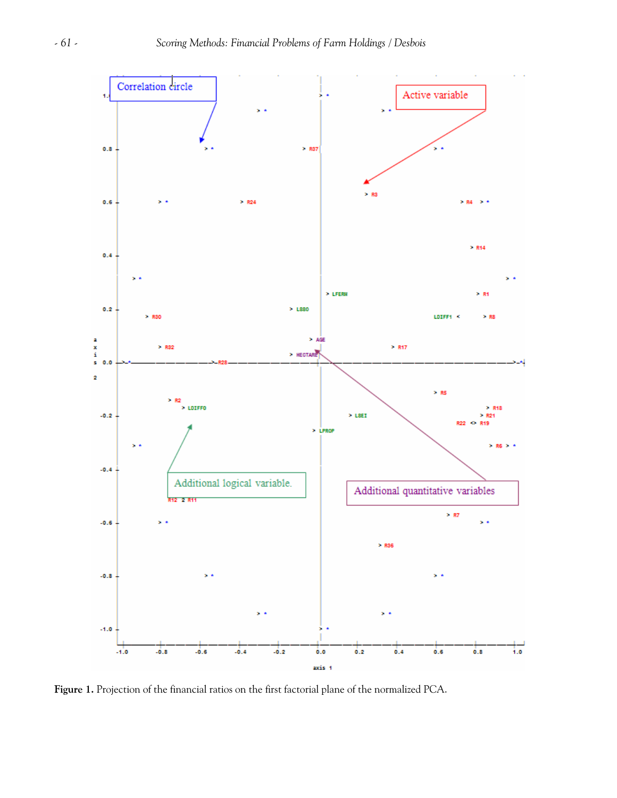

**Figure 1.** Projection of the financial ratios on the first factorial plane of the normalized PCA.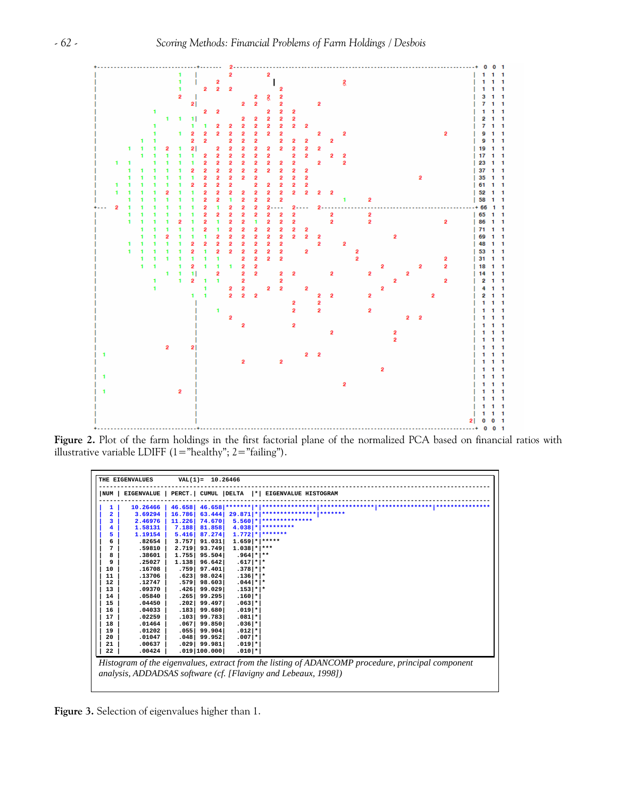

**Figure 2.** Plot of the farm holdings in the first factorial plane of the normalized PCA based on financial ratios with illustrative variable LDIFF  $(1="text{healthy"; } 2="text{ failing").}$ 

|                         | THE EIGENVALUES   |                    | $VAL(1) = 10.26466$ |                     |                                                                                                   |
|-------------------------|-------------------|--------------------|---------------------|---------------------|---------------------------------------------------------------------------------------------------|
| NUM                     | <b>EIGENVALUE</b> | PERCT. CUMUL DELTA |                     |                     | *  EIGENVALUE HISTOGRAM                                                                           |
| 1                       | 10.26466          | 46.658             | 46.658              |                     |                                                                                                   |
| $\overline{\mathbf{2}}$ | 3.69294           | 16.786             | 63.444              | $29.871$ *          |                                                                                                   |
| 3                       | 2.46976           | 11.226             | 74.670              | $5.5601*$           |                                                                                                   |
| 4                       | 1.58131           | 7.188              | 81.858              |                     | $4.038$ * *********                                                                               |
| 5                       | 1.19154           | 5.416              | 87.274              |                     | $1.772$ * *******                                                                                 |
| 6                       | .82654            | 3.757              | 91.031              | $1.659$ * *****     |                                                                                                   |
| 7                       | .59810            | 2.719              | 93.749              | $1.038$ * ***       |                                                                                                   |
| 8                       | .38601            | 1.755              | 95.504              | $.964$ * *          |                                                                                                   |
| 9                       | .25027            | 1.138              | 96.642              | $.617$ * *          |                                                                                                   |
| 10                      | .16708            | .759               | 97.401              | $.378$ $*$ $*$      |                                                                                                   |
| 11                      | .13706            | .623               | 98.024              | $.136$   *   *      |                                                                                                   |
| 12                      | .12747            | .579               | 98.603              | $.044$   *   *      |                                                                                                   |
| 13                      | .09370            | .426               | 99.029              | $.153$  * *         |                                                                                                   |
| 14                      | .05840            | .265               | 99.295              | $.160$   $*$        |                                                                                                   |
| 15                      | .04450            | .202               | 99.497              | $.063$   *          |                                                                                                   |
| 16                      | .04033            | .183               | 99.680              | $.019$ <sup>*</sup> |                                                                                                   |
| 17                      | .02259            | .103               | 99.783              | $.081$   *          |                                                                                                   |
| 18                      | .01464            | .067               | 99.850              | $.036$   *          |                                                                                                   |
| 19                      | .01202            | .055               | 99.904              | $.012$ *            |                                                                                                   |
| 20                      | .01047            | .048               | 99.952              | $.007$   *          |                                                                                                   |
| 21                      | .00637            | .029               | 99.981              | $.019$ <sup>*</sup> |                                                                                                   |
| 22                      | .00424            |                    | $.019$  100.000     | $.010$  *           |                                                                                                   |
|                         |                   |                    |                     |                     |                                                                                                   |
|                         |                   |                    |                     |                     | Histogram of the eigenvalues, extract from the listing of ADANCOMP procedure, principal component |
|                         |                   |                    |                     |                     | analysis, ADDADSAS software (cf. [Flavigny and Lebeaux, 1998])                                    |
|                         |                   |                    |                     |                     |                                                                                                   |
|                         |                   |                    |                     |                     |                                                                                                   |

**Figure 3.** Selection of eigenvalues higher than 1.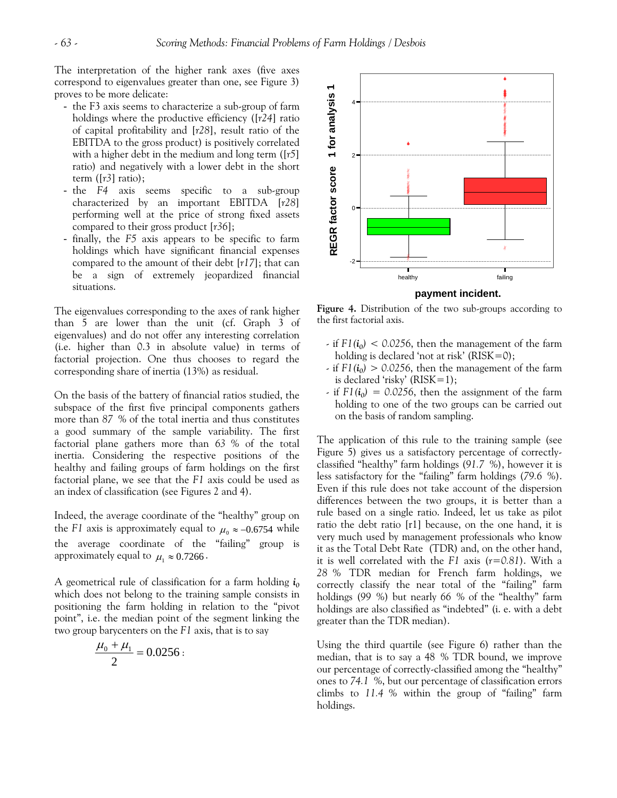The interpretation of the higher rank axes (five axes correspond to eigenvalues greater than one, see Figure 3) proves to be more delicate:

- the F3 axis seems to characterize a sub-group of farm holdings where the productive efficiency ([*r24*] ratio of capital profitability and [*r28*], result ratio of the EBITDA to the gross product) is positively correlated with a higher debt in the medium and long term ([*r5*] ratio) and negatively with a lower debt in the short term ([*r3*] ratio);
- the *F4* axis seems specific to a sub-group characterized by an important EBITDA [*r28*] performing well at the price of strong fixed assets compared to their gross product [*r36*];
- finally, the *F5* axis appears to be specific to farm holdings which have significant financial expenses compared to the amount of their debt [*r17*]; that can be a sign of extremely jeopardized financial situations.

The eigenvalues corresponding to the axes of rank higher than 5 are lower than the unit (cf. Graph 3 of eigenvalues) and do not offer any interesting correlation (i.e. higher than 0.3 in absolute value) in terms of factorial projection. One thus chooses to regard the corresponding share of inertia (13%) as residual.

On the basis of the battery of financial ratios studied, the subspace of the first five principal components gathers more than *87 %* of the total inertia and thus constitutes a good summary of the sample variability. The first factorial plane gathers more than *63 %* of the total inertia. Considering the respective positions of the healthy and failing groups of farm holdings on the first factorial plane, we see that the *F1* axis could be used as an index of classification (see Figures 2 and 4).

Indeed, the average coordinate of the "healthy" group on the *F1* axis is approximately equal to  $\mu_0 \approx -0.6754$  while the average coordinate of the "failing" group is approximately equal to  $\mu_1 \approx 0.7266$ .

A geometrical rule of classification for a farm holding  $i_0$ which does not belong to the training sample consists in positioning the farm holding in relation to the "pivot point", i.e. the median point of the segment linking the two group barycenters on the *F1* axis, that is to say

$$
\frac{\mu_0 + \mu_1}{2} = 0.0256:
$$



**Figure 4.** Distribution of the two sub-groups according to the first factorial axis.

- $\cdot$  if  $FI(i_0)$  < 0.0256, then the management of the farm holding is declared 'not at risk' (RISK=0);
- $\cdot$  if  $F1(i_0) > 0.0256$ , then the management of the farm is declared 'risky'  $(RISK=1)$ ;
- $\cdot$  if  $F1(i_0) = 0.0256$ , then the assignment of the farm holding to one of the two groups can be carried out on the basis of random sampling.

The application of this rule to the training sample (see Figure 5) gives us a satisfactory percentage of correctlyclassified "healthy" farm holdings (*91.7 %*), however it is less satisfactory for the "failing" farm holdings (*79.6 %*). Even if this rule does not take account of the dispersion differences between the two groups, it is better than a rule based on a single ratio. Indeed, let us take as pilot ratio the debt ratio [r1] because, on the one hand, it is very much used by management professionals who know it as the Total Debt Rate (TDR) and, on the other hand, it is well correlated with the *F1* axis (*r=0.81*). With a *28 %* TDR median for French farm holdings, we correctly classify the near total of the "failing" farm holdings (*99 %*) but nearly *66 %* of the "healthy" farm holdings are also classified as "indebted" (i. e. with a debt greater than the TDR median).

Using the third quartile (see Figure 6) rather than the median, that is to say a 48 % TDR bound, we improve our percentage of correctly-classified among the "healthy" ones to *74.1 %*, but our percentage of classification errors climbs to *11.4 %* within the group of "failing" farm holdings.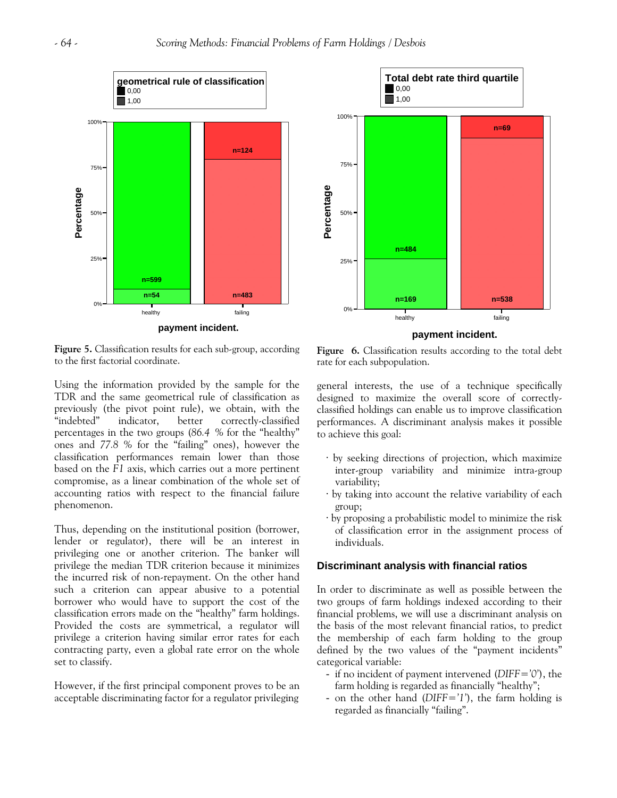



**Figure 5.** Classification results for each sub-group, according to the first factorial coordinate.

Using the information provided by the sample for the TDR and the same geometrical rule of classification as previously (the pivot point rule), we obtain, with the "indebted" indicator, better correctly-classified percentages in the two groups (*86.4 %* for the "healthy" ones and *77.8 %* for the "failing" ones), however the classification performances remain lower than those based on the *F1* axis, which carries out a more pertinent compromise, as a linear combination of the whole set of accounting ratios with respect to the financial failure phenomenon.

Thus, depending on the institutional position (borrower, lender or regulator), there will be an interest in privileging one or another criterion. The banker will privilege the median TDR criterion because it minimizes the incurred risk of non-repayment. On the other hand such a criterion can appear abusive to a potential borrower who would have to support the cost of the classification errors made on the "healthy" farm holdings. Provided the costs are symmetrical, a regulator will privilege a criterion having similar error rates for each contracting party, even a global rate error on the whole set to classify.

However, if the first principal component proves to be an acceptable discriminating factor for a regulator privileging

Figure 6. Classification results according to the total debt rate for each subpopulation.

general interests, the use of a technique specifically designed to maximize the overall score of correctlyclassified holdings can enable us to improve classification performances. A discriminant analysis makes it possible to achieve this goal:

- · by seeking directions of projection, which maximize inter-group variability and minimize intra-group variability;
- · by taking into account the relative variability of each group;
- · by proposing a probabilistic model to minimize the risk of classification error in the assignment process of individuals.

# **Discriminant analysis with financial ratios**

In order to discriminate as well as possible between the two groups of farm holdings indexed according to their financial problems, we will use a discriminant analysis on the basis of the most relevant financial ratios, to predict the membership of each farm holding to the group defined by the two values of the "payment incidents" categorical variable:

- if no incident of payment intervened (*DIFF='0'*), the farm holding is regarded as financially "healthy";
- on the other hand (*DIFF='1'*), the farm holding is regarded as financially "failing".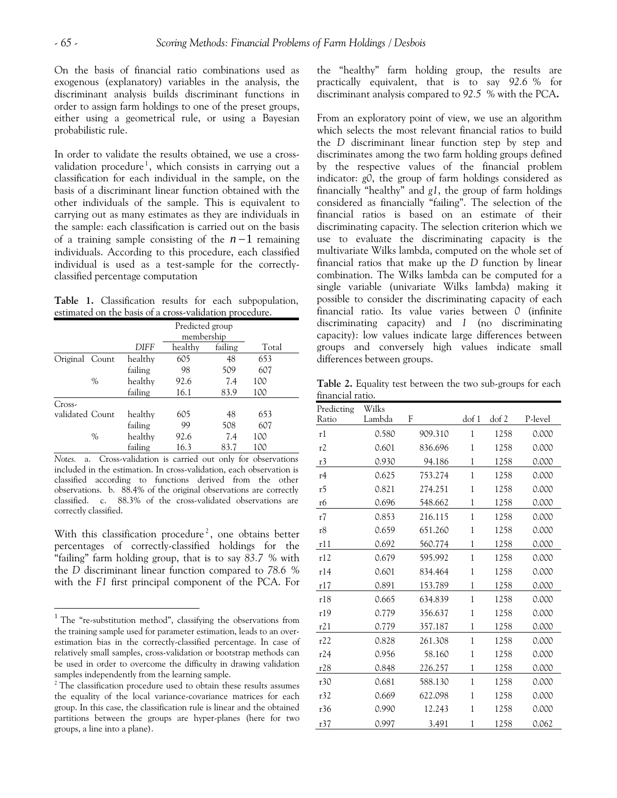$\overline{a}$ 

On the basis of financial ratio combinations used as exogenous (explanatory) variables in the analysis, the discriminant analysis builds discriminant functions in order to assign farm holdings to one of the preset groups, either using a geometrical rule, or using a Bayesian probabilistic rule.

In order to validate the results obtained, we use a cross-validation procedure<sup>[1](#page-9-0)</sup>, which consists in carrying out a classification for each individual in the sample, on the basis of a discriminant linear function obtained with the other individuals of the sample. This is equivalent to carrying out as many estimates as they are individuals in the sample: each classification is carried out on the basis of a training sample consisting of the  $n-1$  remaining individuals. According to this procedure, each classified individual is used as a test-sample for the correctlyclassified percentage computation

**Table 1.** Classification results for each subpopulation, estimated on the basis of a cross-validation procedure.

|                 |               |         | Predicted group<br>membership |         |       |
|-----------------|---------------|---------|-------------------------------|---------|-------|
|                 |               | DIFF    | healthy                       | failing | Total |
| Original Count  |               | healthy | 605                           | 48      | 653   |
|                 |               | failing | 98                            | 509     | 607   |
|                 | $\frac{0}{0}$ | healthy | 92.6                          | 7.4     | 100   |
|                 |               | failing | 16.1                          | 83.9    | 100   |
| $Cross-$        |               |         |                               |         |       |
| validated Count |               | healthy | 605                           | 48      | 653   |
|                 |               | failing | 99                            | 508     | 607   |
|                 | $\frac{0}{0}$ | healthy | 92.6                          | 7.4     | 100   |
|                 |               | failing | 16.3                          | 83.7    | 100   |

*Notes.* a. Cross-validation is carried out only for observations included in the estimation. In cross-validation, each observation is classified according to functions derived from the other observations. b. 88.4% of the original observations are correctly classified. c. 88.3% of the cross-validated observations are correctly classified.

With this classification procedure<sup>[2](#page-9-1)</sup>, one obtains better percentages of correctly-classified holdings for the "failing" farm holding group, that is to say *83.7 %* with the *D* discriminant linear function compared to *78.6 %* with the *F1* first principal component of the PCA. For

the "healthy" farm holding group, the results are practically equivalent, that is to say *92.6 %* for discriminant analysis compared to *92.5 %* with the PCA**.** 

From an exploratory point of view, we use an algorithm which selects the most relevant financial ratios to build the *D* discriminant linear function step by step and discriminates among the two farm holding groups defined by the respective values of the financial problem indicator: *g0*, the group of farm holdings considered as financially "healthy" and *g1*, the group of farm holdings considered as financially "failing". The selection of the financial ratios is based on an estimate of their discriminating capacity. The selection criterion which we use to evaluate the discriminating capacity is the multivariate Wilks lambda, computed on the whole set of financial ratios that make up the *D* function by linear combination. The Wilks lambda can be computed for a single variable (univariate Wilks lambda) making it possible to consider the discriminating capacity of each financial ratio. Its value varies between *0* (infinite discriminating capacity) and *1* (no discriminating capacity): low values indicate large differences between groups and conversely high values indicate small differences between groups.

**Table 2.** Equality test between the two sub-groups for each financial ratio.

| Predicting | Wilks  |         |                  |       |         |
|------------|--------|---------|------------------|-------|---------|
| Ratio      | Lambda | F       | dof <sub>1</sub> | dof 2 | P-level |
| r1         | 0.580  | 909.310 | $\mathbf{1}$     | 1258  | 0.000   |
| r2         | 0.601  | 836.696 | $\mathbf{1}$     | 1258  | 0.000   |
| r3         | 0.930  | 94.186  | $\mathbf{1}$     | 1258  | 0.000   |
| r4         | 0.625  | 753.274 | 1                | 1258  | 0.000   |
| r5         | 0.821  | 274.251 | $\mathbf{1}$     | 1258  | 0.000   |
| r6         | 0.696  | 548.662 | $\mathbf{1}$     | 1258  | 0.000   |
| r7         | 0.853  | 216.115 | $\mathbf{1}$     | 1258  | 0.000   |
| r8         | 0.659  | 651.260 | $\mathbf{1}$     | 1258  | 0.000   |
| r11        | 0.692  | 560.774 | $\mathbf{1}$     | 1258  | 0.000   |
| r12        | 0.679  | 595.992 | $\mathbf{1}$     | 1258  | 0.000   |
| r14        | 0.601  | 834.464 | $\mathbf{1}$     | 1258  | 0.000   |
| r17        | 0.891  | 153.789 | $\mathbf{1}$     | 1258  | 0.000   |
| r18        | 0.665  | 634.839 | $\mathbf{1}$     | 1258  | 0.000   |
| r19        | 0.779  | 356.637 | 1                | 1258  | 0.000   |
| r21        | 0.779  | 357.187 | 1                | 1258  | 0.000   |
| r22        | 0.828  | 261.308 | $\mathbf{1}$     | 1258  | 0.000   |
| r24        | 0.956  | 58.160  | $\mathbf{1}$     | 1258  | 0.000   |
| r28        | 0.848  | 226.257 | $\mathbf{1}$     | 1258  | 0.000   |
| r30        | 0.681  | 588.130 | $\mathbf{1}$     | 1258  | 0.000   |
| r32        | 0.669  | 622.098 | $\mathbf{1}$     | 1258  | 0.000   |
| r36        | 0.990  | 12.243  | $\mathbf{1}$     | 1258  | 0.000   |
| r37        | 0.997  | 3.491   | $\mathbf{1}$     | 1258  | 0.062   |

<span id="page-9-0"></span> $1$  The "re-substitution method", classifying the observations from the training sample used for parameter estimation, leads to an overestimation bias in the correctly-classified percentage. In case of relatively small samples, cross-validation or bootstrap methods can be used in order to overcome the difficulty in drawing validation samples independently from the learning sample.

<span id="page-9-1"></span><sup>&</sup>lt;sup>2</sup> The classification procedure used to obtain these results assumes the equality of the local variance-covariance matrices for each group. In this case, the classification rule is linear and the obtained partitions between the groups are hyper-planes (here for two groups, a line into a plane).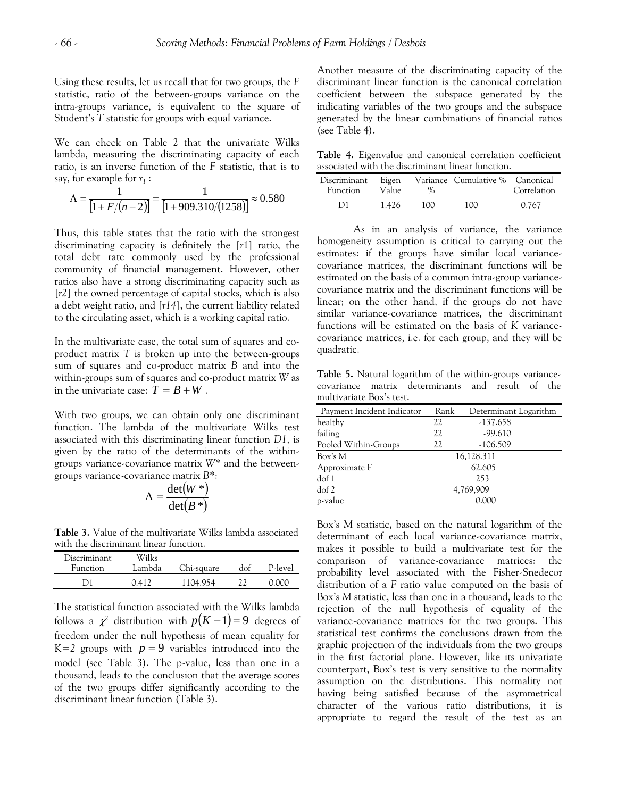Using these results, let us recall that for two groups, the *F* statistic, ratio of the between-groups variance on the intra-groups variance, is equivalent to the square of Student's *T* statistic for groups with equal variance.

We can check on Table 2 that the univariate Wilks lambda, measuring the discriminating capacity of each ratio, is an inverse function of the *F* statistic, that is to say, for example for  $r_1$ :

$$
\Lambda = \frac{1}{\left[1 + \frac{F}{(n-2)}\right]} = \frac{1}{\left[1 + \frac{909.310}{(1258)}\right]} \approx 0.580
$$

Thus, this table states that the ratio with the strongest discriminating capacity is definitely the [*r*1] ratio, the total debt rate commonly used by the professional community of financial management. However, other ratios also have a strong discriminating capacity such as [*r2*] the owned percentage of capital stocks, which is also a debt weight ratio, and [*r14*], the current liability related to the circulating asset, which is a working capital ratio.

In the multivariate case, the total sum of squares and coproduct matrix *T* is broken up into the between-groups sum of squares and co-product matrix *B* and into the within-groups sum of squares and co-product matrix *W* as in the univariate case:  $\overline{T} = B + W$ .

With two groups, we can obtain only one discriminant function. The lambda of the multivariate Wilks test associated with this discriminating linear function *D1*, is given by the ratio of the determinants of the withingroups variance-covariance matrix *W\** and the betweengroups variance-covariance matrix *B\**:

$$
\Lambda = \frac{\det(W^*)}{\det(B^*)}
$$

**Table 3.** Value of the multivariate Wilks lambda associated with the discriminant linear function.

| Discriminant<br><b>Function</b> | Wilks<br>Lambda | Chi-square | dof | P-level |
|---------------------------------|-----------------|------------|-----|---------|
| 171                             | (141)           | 1104 954   |     | റ റററ   |

The statistical function associated with the Wilks lambda follows a  $\chi^2$  distribution with  $p(K-1)=9$  degrees of freedom under the null hypothesis of mean equality for  $K=2$  groups with  $p=9$  variables introduced into the model (see Table 3). The p-value, less than one in a thousand, leads to the conclusion that the average scores of the two groups differ significantly according to the discriminant linear function (Table 3).

Another measure of the discriminating capacity of the discriminant linear function is the canonical correlation coefficient between the subspace generated by the indicating variables of the two groups and the subspace generated by the linear combinations of financial ratios (see Table 4).

**Table 4.** Eigenvalue and canonical correlation coefficient associated with the discriminant linear function.

| Discriminant<br><b>Function</b> | Eigen<br>Value | $\mathcal{O}_{\alpha}$ | Variance Cumulative % Canonical | Correlation |
|---------------------------------|----------------|------------------------|---------------------------------|-------------|
| D1                              | 1.426          | 1 ററ                   | 1ററ                             | 0.767       |

As in an analysis of variance, the variance homogeneity assumption is critical to carrying out the estimates: if the groups have similar local variancecovariance matrices, the discriminant functions will be estimated on the basis of a common intra-group variancecovariance matrix and the discriminant functions will be linear; on the other hand, if the groups do not have similar variance-covariance matrices, the discriminant functions will be estimated on the basis of *K* variancecovariance matrices, i.e. for each group, and they will be quadratic.

**Table 5.** Natural logarithm of the within-groups variancecovariance matrix determinants and result of the multivariate Box's test.

| Payment Incident Indicator | Rank | Determinant Logarithm |
|----------------------------|------|-----------------------|
| healthy                    | 22   | $-137.658$            |
| failing                    | 22   | $-99.610$             |
| Pooled Within-Groups       | 22   | $-106.509$            |
| Box's M                    |      | 16,128.311            |
| Approximate F              |      | 62.605                |
| dof <sub>1</sub>           |      | 253                   |
| dof 2                      |      | 4,769,909             |
| p-value                    |      | 0.000                 |

Box's *M* statistic, based on the natural logarithm of the determinant of each local variance-covariance matrix, makes it possible to build a multivariate test for the comparison of variance-covariance matrices: the probability level associated with the Fisher-Snedecor distribution of a *F* ratio value computed on the basis of Box's *M* statistic, less than one in a thousand, leads to the rejection of the null hypothesis of equality of the variance-covariance matrices for the two groups. This statistical test confirms the conclusions drawn from the graphic projection of the individuals from the two groups in the first factorial plane. However, like its univariate counterpart, Box's test is very sensitive to the normality assumption on the distributions. This normality not having being satisfied because of the asymmetrical character of the various ratio distributions, it is appropriate to regard the result of the test as an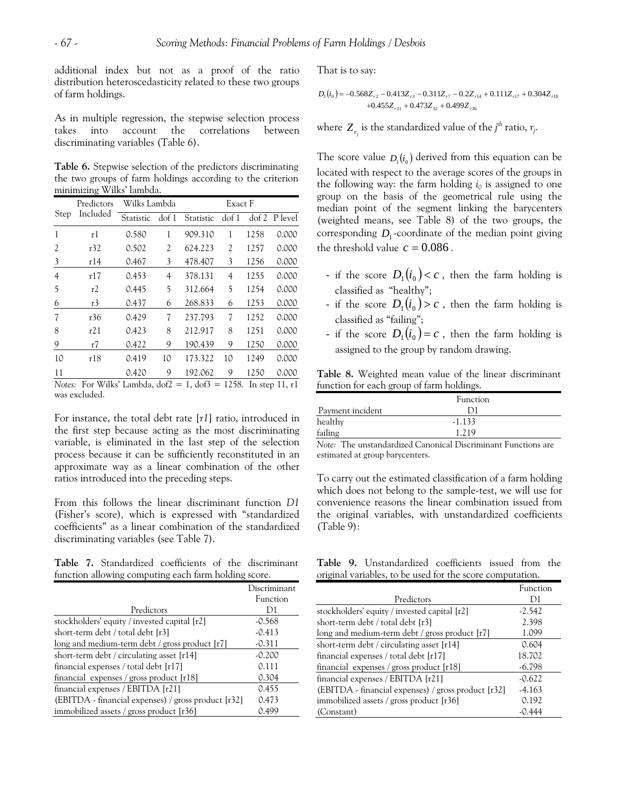additional index but not as a proof of the ratio distribution heteroscedasticity related to these two groups of farm holdings.

As in multiple regression, the stepwise selection process takes into account the correlations between discriminating variables (Table 6).

**Table 6.** Stepwise selection of the predictors discriminating the two groups of farm holdings according to the criterion minimizing Wilks' lambda.

|                | Predictors                                           | Wilks Lambda |                  | Exact F   |                  |      |                    |
|----------------|------------------------------------------------------|--------------|------------------|-----------|------------------|------|--------------------|
| Step           | Included                                             | Statistic    | dof <sub>1</sub> | Statistic | dof <sub>1</sub> |      | $dof 2$ P level    |
| 1              | r1                                                   | 0.580        | 1                | 909.310   | 1                | 1258 | 0.000              |
| 2              | r32                                                  | 0.502        | 2                | 624.223   | $\overline{c}$   | 1257 | 0.000              |
| 3              | r14                                                  | 0.467        | 3                | 478.407   | 3                | 1256 | 0.000              |
| $\overline{4}$ | r17                                                  | 0.453        | 4                | 378.131   | 4                | 1255 | 0.000              |
| 5              | r2                                                   | 0.445        | 5                | 312.664   | 5                | 1254 | 0.000              |
| 6              | r3                                                   | 0.437        | 6                | 268.833   | 6                | 1253 | 0.000              |
| $\overline{7}$ | r36                                                  | 0.429        | 7                | 237.793   | 7                | 1252 | 0.000              |
| 8              | r21                                                  | 0.423        | 8                | 212.917   | 8                | 1251 | 0.000              |
| 9              | r7                                                   | 0.422        | 9                | 190.439   | 9                | 1250 | 0.000              |
| 10             | r18                                                  | 0.419        | 10               | 173.322   | 10               | 1249 | 0.000              |
| 11             |                                                      | 0.420        | 9                | 192.062   | 9                | 1250 | 0.000              |
|                | Motor, For Wille Lambda $d_0f^2 = 1$ $d_0f^2 = 1258$ |              |                  |           |                  |      | السالة وموجود وبال |

*Notes:* For Wilks' Lambda, dof2 = 1, dof3 = 1258. In step 11, r1 was excluded.

For instance, the total debt rate [*r1*] ratio, introduced in the first step because acting as the most discriminating variable, is eliminated in the last step of the selection process because it can be sufficiently reconstituted in an approximate way as a linear combination of the other ratios introduced into the preceding steps.

From this follows the linear discriminant function *D1*  (Fisher's score)*,* which is expressed with "standardized coefficients" as a linear combination of the standardized discriminating variables (see Table 7).

**Table 7.** Standardized coefficients of the discriminant function allowing computing each farm holding score.

| Predictors                                            | Discriminant<br>Function<br>D1 |
|-------------------------------------------------------|--------------------------------|
|                                                       |                                |
| stockholders' equity / invested capital [r2]          | $-0.568$                       |
| short-term debt / total debt [r3]                     | $-0.413$                       |
| long and medium-term debt / gross product [r7]        | $-0.311$                       |
| short-term debt / circulating asset [r14]             | $-0.200$                       |
| financial expenses / total debt [r17]                 | 0.111                          |
| financial expenses / gross product $[r18]$            | 0.304                          |
| financial expenses / EBITDA [r21]                     | 0.455                          |
| $(EBITDA - financial$ expenses) / gross product [r32] | 0.473                          |
| immobilized assets / gross product [r36]              | 0.499                          |
|                                                       |                                |

That is to say:

$$
\begin{aligned} D_{1}(i_{0})= -0.568Z_{r2} - 0.413Z_{r3} - 0.311Z_{r7} - 0.2Z_{r14} + 0.111Z_{r17} + 0.304Z_{r18} \\ + 0.455Z_{r21} + 0.473Z_{32} + 0.499Z_{r36} \end{aligned}
$$

where  $Z_{r_j}$  is the standardized value of the *j<sup>th</sup>* ratio,  $r_j$ .

The score value  $D_i(i_0)$  derived from this equation can be corresponding  $D_1$ -coordinate of the median point giving the threshold value  $c = 0.086$ . located with respect to the average scores of the groups in the following way: the farm holding  $i_0$  is assigned to one group on the basis of the geometrical rule using the median point of the segment linking the barycenters (weighted means, see Table 8) of the two groups, the

- if the score  $D_1 (i_0) < c$ , then the farm holding is classified as "healthy";
- if the score  $D_1 (i_0) > c$ , then the farm holding is classified as "failing";
- if the score  $D_1 (t_0) = c$ , then the farm holding is assigned to the group by random drawing.

**Table 8.** Weighted mean value of the linear discriminant function for each group of farm holdings.

|                  | Function |  |
|------------------|----------|--|
| Payment incident |          |  |
| healthy          | $-1.133$ |  |
| failing          | . 210    |  |

*Note:* The unstandardized Canonical Discriminant Functions are estimated at group barycenters.

To carry out the estimated classification of a farm holding which does not belong to the sample-test, we will use for convenience reasons the linear combination issued from the original variables, with unstandardized coefficients (Table 9):

**Table 9.** Unstandardized coefficients issued from the original variables, to be used for the score computation.

|                                                     | Function |
|-----------------------------------------------------|----------|
| Predictors                                          | D1       |
| stockholders' equity / invested capital [r2]        | $-2.542$ |
| short-term debt / total debt [r3]                   | 2.398    |
| long and medium-term debt / gross product [r7]      | 1.099    |
| short-term debt / circulating asset [r14]           | 0.604    |
| financial expenses / total debt [r17]               | 18.702   |
| financial expenses / gross product $[r18]$          | $-6.798$ |
| financial expenses / EBITDA [r21]                   | $-0.622$ |
| (EBITDA - financial expenses) / gross product [r32] | $-4.163$ |
| immobilized assets / gross product [r36]            | 0.192    |
| (Constant)                                          | 444 ن    |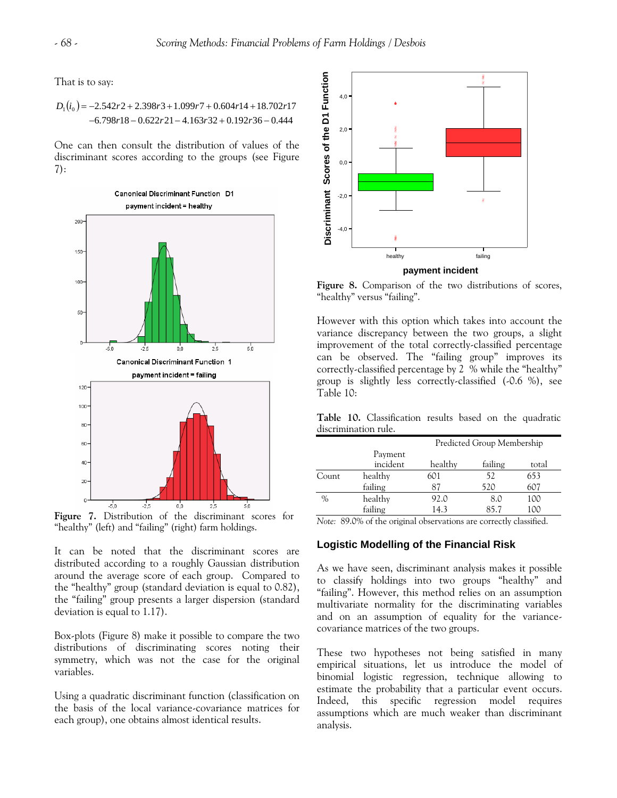That is to say:

$$
D_1(i_0) = -2.542r2 + 2.398r3 + 1.099r7 + 0.604r14 + 18.702r17
$$
  
\n
$$
-6.798r18 - 0.622r21 - 4.163r32 + 0.192r36 - 0.444
$$

One can then consult the distribution of values of the discriminant scores according to the groups (see Figure 7):



**Figure 7.** Distribution of the discriminant scores for "healthy" (left) and "failing" (right) farm holdings.

It can be noted that the discriminant scores are distributed according to a roughly Gaussian distribution around the average score of each group.Compared to the "healthy" group (standard deviation is equal to 0.82), the "failing" group presents a larger dispersion (standard deviation is equal to 1.17).

Box-plots (Figure 8) make it possible to compare the two distributions of discriminating scores noting their symmetry, which was not the case for the original variables.

Using a quadratic discriminant function (classification on the basis of the local variance-covariance matrices for each group), one obtains almost identical results.



**Figure 8.** Comparison of the two distributions of scores, "healthy" versus "failing".

However with this option which takes into account the variance discrepancy between the two groups, a slight improvement of the total correctly-classified percentage can be observed. The "failing group" improves its correctly-classified percentage by 2 % while the "healthy" group is slightly less correctly-classified (-0.6 %), see Table 10:

**Table 10.** Classification results based on the quadratic discrimination rule.

|               | Predicted Group Membership |         |         |       |  |  |
|---------------|----------------------------|---------|---------|-------|--|--|
|               | Payment<br>incident        | healthy | failing | total |  |  |
| Count         | healthy                    | 601     | 52      | 653   |  |  |
|               | failing                    | 87      | 520     | 607   |  |  |
| $\frac{0}{0}$ | healthy                    | 92.0    | 8.0     | 100   |  |  |
|               | failing                    | 14.3    | 85.7    | 100   |  |  |

*Note:* 89.0% of the original observations are correctly classified.

# **Logistic Modelling of the Financial Risk**

As we have seen, discriminant analysis makes it possible to classify holdings into two groups "healthy" and "failing". However, this method relies on an assumption multivariate normality for the discriminating variables and on an assumption of equality for the variancecovariance matrices of the two groups.

These two hypotheses not being satisfied in many empirical situations, let us introduce the model of binomial logistic regression, technique allowing to estimate the probability that a particular event occurs. Indeed, this specific regression model requires assumptions which are much weaker than discriminant analysis.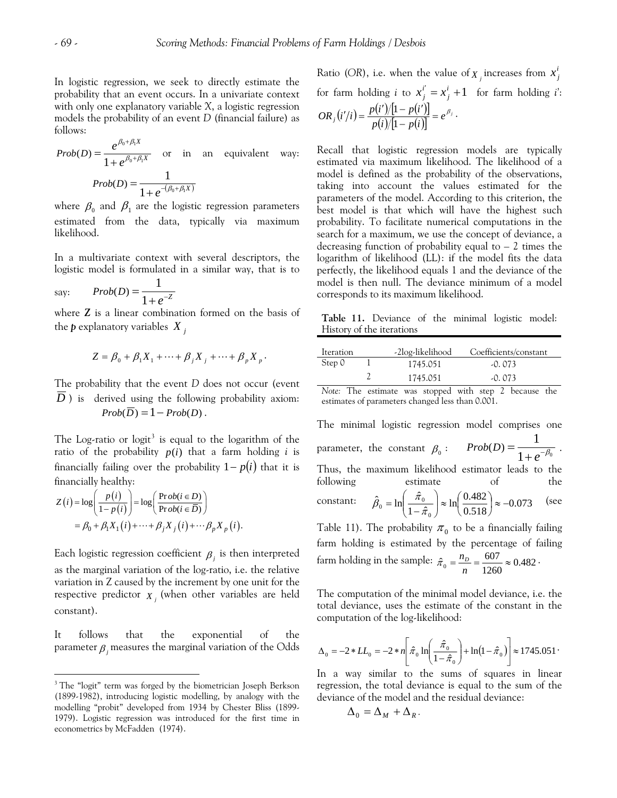In logistic regression, we seek to directly estimate the probability that an event occurs. In a univariate context with only one explanatory variable *X*, a logistic regression models the probability of an event *D* (financial failure) as follows:

$$
Prob(D) = \frac{e^{\beta_0 + \beta_1 X}}{1 + e^{\beta_0 + \beta_1 X}} \quad \text{or} \quad \text{in} \quad \text{an} \quad \text{equivalent} \quad \text{way:}
$$

$$
Prob(D) = \frac{1}{1 + e^{-(\beta_0 + \beta_1 X)}}
$$

where  $\beta_0$  and  $\beta_1$  are the logistic regression parameters estimated from the data, typically via maximum likelihood.

In a multivariate context with several descriptors, the logistic model is formulated in a similar way, that is to

$$
say: \qquad Prob(D) = \frac{1}{1 + e^{-Z}}
$$

where *Z* is a linear combination formed on the basis of the *p* explanatory variables *X <sup>j</sup>*

$$
Z = \beta_0 + \beta_1 X_1 + \dots + \beta_j X_j + \dots + \beta_p X_p.
$$

The probability that the event *D* does not occur (event *D*) is derived using the following probability axiom:  $Prob(\overline{D}) = 1 - Prob(D)$ .

The Log-ratio or  $logit^3$  $logit^3$  is equal to the logarithm of the ratio of the probability  $p(i)$  that a farm holding *i* is financially failing over the probability  $1-p(i)$  that it is financially healthy:

$$
Z(i) = \log\left(\frac{p(i)}{1 - p(i)}\right) = \log\left(\frac{\text{Prob}(i \in D)}{\text{Prob}(i \in \overline{D})}\right)
$$
  
=  $\beta_0 + \beta_1 X_1(i) + \dots + \beta_j X_j(i) + \dots + \beta_p X_p(i).$ 

 $\overline{a}$ 

Each logistic regression coefficient  $\beta_j$  is then interpreted as the marginal variation of the log-ratio, i.e. the relative variation in Z caused by the increment by one unit for the respective predictor  $\boldsymbol{X}_j$  (when other variables are held constant).

It follows that the exponential of the parameter  $\beta$  *j* measures the marginal variation of the Odds

 $X_j$  increases from  $x_j^i$ Ratio (OR), i.e. when the value of  $\overline{X}_j$  increases from  $\overline{X}_j^i$  $i' = x_j^i + 1$ for farm holding *i* to  $x_j^{i'} = x_j^i + 1$  for farm holding *i*':  $(i'/i) = \frac{p(i')/[1-p(i')] }{p(i)/[1-p(i)]} = e^{\beta_{ij}}$  $OR_j(i'/i) = \frac{p(i')/[1-p(i')] }{p(i)/[1-p(i)]} = e^{\beta_j}.$ 

Recall that logistic regression models are typically estimated via maximum likelihood. The likelihood of a model is defined as the probability of the observations, taking into account the values estimated for the parameters of the model. According to this criterion, the best model is that which will have the highest such probability. To facilitate numerical computations in the search for a maximum, we use the concept of deviance, a decreasing function of probability equal to  $-2$  times the logarithm of likelihood (LL): if the model fits the data perfectly, the likelihood equals 1 and the deviance of the model is then null. The deviance minimum of a model corresponds to its maximum likelihood.

**Table 11.** Deviance of the minimal logistic model: History of the iterations

| Iteration | -2log-likelihood | Coefficients/constant |
|-----------|------------------|-----------------------|
| Step 0    | 1745.051         | $-0.073$              |
|           | 1745.051         | $-0.073$              |

*Note:* The estimate was stopped with step 2 because the estimates of parameters changed less than 0.001.

The minimal logistic regression model comprises one parameter, the constant  $\beta_0: Prob(D) = \frac{}{1+e^{-\beta_0}}$  $Prob(D) = \frac{1}{1 + e^{-\beta_0}}$ . Thus, the maximum likelihood estimator leads to the following estimate of the constant:  $\hat{\beta}_0 = \ln \left| \frac{\pi_0}{\sigma_0} \right| \approx \ln \left| \frac{0.482}{0.732} \right| \approx -0.073$ 0.518  $\ln \frac{0.482}{0.718}$  $1 - \hat{\pi}$  $\hat{B}_0 = \ln\left(\frac{\hat{\pi}}{2}\right)$  $\mathbf{0}$  $\lambda_0 = \ln\left(\frac{\hat{\pi}_0}{1-\hat{\pi}_0}\right) \approx \ln\left(\frac{0.482}{0.518}\right) \approx -1$  $\frac{1}{2} \approx \ln \left( \frac{1}{2} \right)$ ⎠ ⎞  $\parallel$ ⎝  $\hat{\beta}_0 = \ln \left( \frac{\hat{\pi}_0}{1 - \hat{\pi}} \right)$ Table 11). The probability  $\pi_{0}$  to be a financially failing (see

farm holding is estimated by the percentage of failing farm holding in the sample:  $\hat{\pi}_0 = \frac{n_D}{n} = \frac{607}{1260} \approx 0.482$ .

The computation of the minimal model deviance, i.e. the total deviance, uses the estimate of the constant in the computation of the log-likelihood:

$$
\Delta_0 = -2 * LL_0 = -2 * n \left[ \hat{\pi}_0 \ln \left( \frac{\hat{\pi}_0}{1 - \hat{\pi}_0} \right) + \ln(1 - \hat{\pi}_0) \right] \approx 1745.051
$$

In a way similar to the sums of squares in linear regression, the total deviance is equal to the sum of the deviance of the model and the residual deviance:

$$
\Delta_0 = \Delta_M + \Delta_R.
$$

<span id="page-13-0"></span><sup>&</sup>lt;sup>3</sup> The "logit" term was forged by the biometrician Joseph Berkson (1899-1982), introducing logistic modelling, by analogy with the modelling "probit" developed from 1934 by Chester Bliss (1899- 1979). Logistic regression was introduced for the first time in econometrics by McFadden (1974).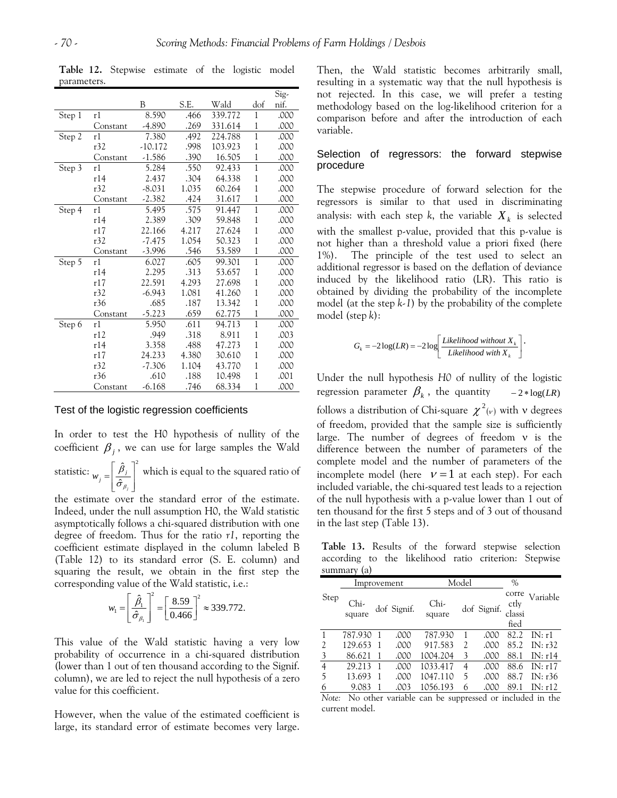|        |          |           |       |         |              | Sig- |
|--------|----------|-----------|-------|---------|--------------|------|
|        |          | B         | S.E.  | Wald    | dof          | nif. |
| Step 1 | r1       | 8.590     | .466  | 339.772 | 1            | .000 |
|        | Constant | $-4.890$  | .269  | 331.614 | 1            | .000 |
| Step 2 | r1       | 7.380     | .492  | 224.788 | $\mathbf{1}$ | .000 |
|        | r32      | $-10.172$ | .998  | 103.923 | 1            | .000 |
|        | Constant | $-1.586$  | .390  | 16.505  | $\mathbf{1}$ | .000 |
| Step 3 | r1       | 5.284     | .550  | 92.433  | $\mathbf{1}$ | .000 |
|        | r14      | 2.437     | .304  | 64.338  | 1            | .000 |
|        | r32      | $-8.031$  | 1.035 | 60.264  | $\mathbf 1$  | .000 |
|        | Constant | $-2.382$  | .424  | 31.617  | 1            | .000 |
| Step 4 | r1       | 5.495     | .575  | 91.447  | $\mathbf{1}$ | .000 |
|        | r14      | 2.389     | .309  | 59.848  | 1            | .000 |
|        | r17      | 22.166    | 4.217 | 27.624  | $\mathbf{1}$ | .000 |
|        | r32      | $-7.475$  | 1.054 | 50.323  | 1            | .000 |
|        | Constant | $-3.996$  | .546  | 53.589  | 1            | .000 |
| Step 5 | r1       | 6.027     | .605  | 99.301  | $\mathbf{1}$ | .000 |
|        | r14      | 2.295     | .313  | 53.657  | $\mathbf{1}$ | .000 |
|        | r17      | 22.591    | 4.293 | 27.698  | $\mathbf{1}$ | .000 |
|        | r32      | $-6.943$  | 1.081 | 41.260  | 1            | .000 |
|        | r36      | .685      | .187  | 13.342  | 1            | .000 |
|        | Constant | $-5.223$  | .659  | 62.775  | 1            | .000 |
| Step 6 | r1       | 5.950     | .611  | 94.713  | $\mathbf 1$  | .000 |
|        | r12      | .949      | .318  | 8.911   | $\mathbf{1}$ | .003 |
|        | r14      | 3.358     | .488  | 47.273  | $\mathbf{1}$ | .000 |
|        | r17      | 24.233    | 4.380 | 30.610  | $\mathbf{1}$ | .000 |
|        | r32      | $-7.306$  | 1.104 | 43.770  | 1            | .000 |
|        | r36      | .610      | .188  | 10.498  | 1            | .001 |
|        | Constant | $-6.168$  | .746  | 68.334  | $\mathbf{1}$ | .000 |

**Table 12.** Stepwise estimate of the logistic model parameters.

#### Test of the logistic regression coefficients

ˆ

In order to test the H0 hypothesis of nullity of the coefficient  $\beta$ <sub>*i*</sub>, we can use for large samples the Wald statistic:  $\left[\begin{array}{cc} \hat{\beta}_j \end{array}\right]^2$ ˆ  $\overline{\phantom{a}}$ ⎤  $\mathsf{I}$  $\mathsf{L}$  $j = \frac{\mu_j}{\hat{\sigma}_{\beta_j}}$ *j*  $w_i = \frac{\beta_i}{\sigma}$  which is equal to the squared ratio of

 $\overline{\phantom{a}}$ ⎦  $\mathsf{I}$ լ β the estimate over the standard error of the estimate. Indeed, under the null assumption H0, the Wald statistic asymptotically follows a chi-squared distribution with one degree of freedom. Thus for the ratio *r1*, reporting the coefficient estimate displayed in the column labeled B (Table 12) to its standard error (S. E. column) and squaring the result, we obtain in the first step the corresponding value of the Wald statistic, i.e.:

$$
w_1 = \left[\frac{\hat{\beta}_1}{\hat{\sigma}_{\beta_1}}\right]^2 = \left[\frac{8.59}{0.466}\right]^2 \approx 339.772.
$$

This value of the Wald statistic having a very low probability of occurrence in a chi-squared distribution (lower than 1 out of ten thousand according to the Signif. column), we are led to reject the null hypothesis of a zero value for this coefficient.

However, when the value of the estimated coefficient is large, its standard error of estimate becomes very large. Then, the Wald statistic becomes arbitrarily small, resulting in a systematic way that the null hypothesis is not rejected. In this case, we will prefer a testing methodology based on the log-likelihood criterion for a comparison before and after the introduction of each variable.

#### Selection of regressors: the forward stepwise procedure

The stepwise procedure of forward selection for the regressors is similar to that used in discriminating analysis: with each step  $k$ , the variable  $X_k$  is selected with the smallest p-value, provided that this p-value is not higher than a threshold value a priori fixed (here 1%). The principle of the test used to select an additional regressor is based on the deflation of deviance induced by the likelihood ratio (LR). This ratio is obtained by dividing the probability of the incomplete model (at the step *k-1*) by the probability of the complete model (step *k*):

$$
G_k = -2\log(LR) = -2\log\left[\frac{Likelihood\ without\ X_k}{Likelihood\ with\ X_k}\right].
$$

regression parameter  $\beta_k$ , the quantity  $-2 * log(LR)$ Under the null hypothesis *H0* of nullity of the logistic follows a distribution of Chi-square  $\chi^2{}_{(\nu)}$  with v degrees of freedom, provided that the sample size is sufficiently large. The number of degrees of freedom ν is the difference between the number of parameters of the complete model and the number of parameters of the incomplete model (here  $v=1$  at each step). For each included variable, the chi-squared test leads to a rejection of the null hypothesis with a p-value lower than 1 out of ten thousand for the first 5 steps and of 3 out of thousand in the last step (Table 13).

**Table 13.** Results of the forward stepwise selection according to the likelihood ratio criterion: Stepwise summary (a)

|                | $\sqrt{ }$<br>Improvement |    |             | Model          |   |             | $\%$                            |           |
|----------------|---------------------------|----|-------------|----------------|---|-------------|---------------------------------|-----------|
| Step           | Chi-<br>square            |    | dof Signif. | Chi-<br>square |   | dof Signif. | corre<br>ctly<br>classi<br>fied | Variable  |
|                | 787.930                   | -1 | .000        | 787.930        | 1 | .000        | 82.2                            | IN: r1    |
| 2              | 129.653                   | -1 | .000        | 917.583        | 2 | .000        | 85.2                            | IN: r32   |
| 3              | 86.621                    |    | .000        | 1004.204       | 3 | .000        | 88.1                            | IN: r14   |
| $\overline{4}$ | 29.213                    | -1 | .000        | 1033.417       | 4 | .000        | 88.6                            | IN: r17   |
| 5              | 13.693                    |    | .000        | 1047.110       | 5 | .000        | 88.7                            | IN: $r36$ |
| 6              | 9.083                     |    | .003        | 1056.193       | 6 | .000        | 89.1                            | IN: r12   |

*Note:* No other variable can be suppressed or included in the current model.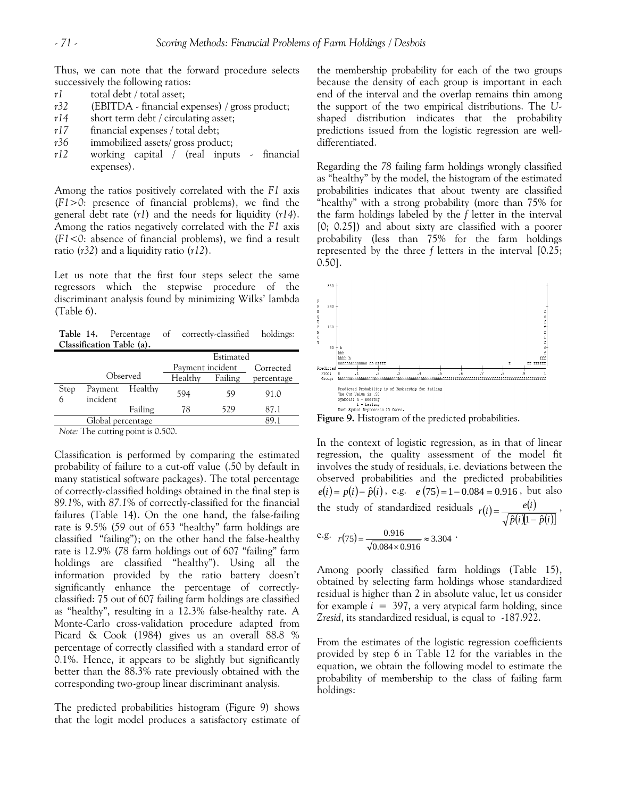Thus, we can note that the forward procedure selects successively the following ratios:

- *r1* total debt / total asset;
- *r32* (EBITDA financial expenses) / gross product;
- *r14* short term debt / circulating asset;
- *r17* financial expenses / total debt;
- *r36* immobilized assets/ gross product;
- *r12* working capital / (real inputs financial expenses).

Among the ratios positively correlated with the *F1* axis (*F1>0*: presence of financial problems), we find the general debt rate (*r1*) and the needs for liquidity (*r14*). Among the ratios negatively correlated with the *F1* axis (*F1<0*: absence of financial problems), we find a result ratio (*r32*) and a liquidity ratio (*r12*).

Let us note that the first four steps select the same regressors which the stepwise procedure of the discriminant analysis found by minimizing Wilks' lambda (Table 6).

**Table 14.** Percentage of correctly-classified holdings: **Classification Table (a).**

|           |                     |          | Estimated        |         |            |  |
|-----------|---------------------|----------|------------------|---------|------------|--|
|           |                     |          | Payment incident |         | Corrected  |  |
|           |                     | Observed | Healthy          | Failing | percentage |  |
| Step<br>h | Payment<br>incident | Healthy  | 594              | 59      | 91.0       |  |
|           |                     | Failing  | 78               | 529     | 87.1       |  |
|           | Global percentage   |          |                  |         | 891        |  |

*Note:* The cutting point is 0.500.

Classification is performed by comparing the estimated probability of failure to a cut-off value (.50 by default in many statistical software packages). The total percentage of correctly-classified holdings obtained in the final step is *89.1*%, with *87.1*% of correctly-classified for the financial failures (Table 14). On the one hand, the false-failing rate is 9.5% (*59* out of 653 "healthy" farm holdings are classified "failing"); on the other hand the false-healthy rate is 12.9% (*78* farm holdings out of 607 "failing" farm holdings are classified "healthy"). Using all the information provided by the ratio battery doesn't significantly enhance the percentage of correctlyclassified: 75 out of 607 failing farm holdings are classified as "healthy", resulting in a 12.3% false-healthy rate. A Monte-Carlo cross-validation procedure adapted from Picard & Cook (1984) gives us an overall 88.8 % percentage of correctly classified with a standard error of 0.1%. Hence, it appears to be slightly but significantly better than the 88.3% rate previously obtained with the corresponding two-group linear discriminant analysis.

The predicted probabilities histogram (Figure 9) shows that the logit model produces a satisfactory estimate of the membership probability for each of the two groups because the density of each group is important in each end of the interval and the overlap remains thin among the support of the two empirical distributions. The *U*shaped distribution indicates that the probability predictions issued from the logistic regression are welldifferentiated.

Regarding the *78* failing farm holdings wrongly classified as "healthy" by the model, the histogram of the estimated probabilities indicates that about twenty are classified "healthy" with a strong probability (more than 75% for the farm holdings labeled by the *f* letter in the interval [0; 0.25]) and about sixty are classified with a poorer probability (less than 75% for the farm holdings represented by the three *f* letters in the interval [0.25; 0.50].



In the context of logistic regression, as in that of linear regression, the quality assessment of the model fit involves the study of residuals, i.e. deviations between the observed probabilities and the predicted probabilities  $e(i) = p(i) - \hat{p}(i)$ , e.g.  $e(75) = 1 - 0.084 = 0.916$ , but also the study of standardized residuals  $r(i) = \frac{e(i)}{\sqrt{1 - \frac{e(i)}{i}}$  $r(i) = \frac{e(i)}{\sqrt{\hat{p}(i)[1-\hat{p}(i)]}}$ , e.g.  $r(75) = \frac{0.916}{\sqrt{3}} \approx 3.304$ 

e.g. 
$$
r(75) = \frac{0.916}{\sqrt{0.084 \times 0.916}} \approx 3.304
$$
.

Among poorly classified farm holdings (Table 15), obtained by selecting farm holdings whose standardized residual is higher than 2 in absolute value, let us consider for example  $i = 397$ , a very atypical farm holding, since *Zresid*, its standardized residual, is equal to -187.922.

From the estimates of the logistic regression coefficients provided by step 6 in Table 12 for the variables in the equation, we obtain the following model to estimate the probability of membership to the class of failing farm holdings: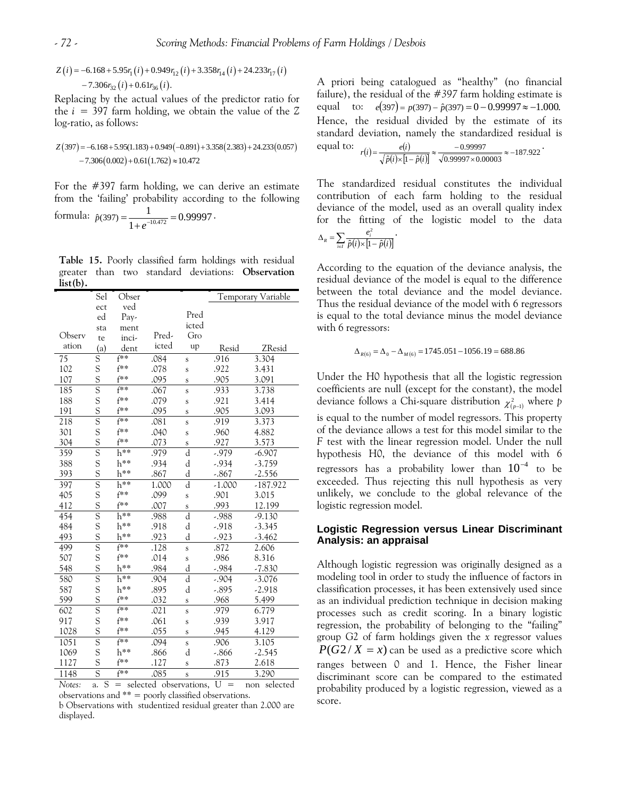$$
Z(i) = -6.168 + 5.95r_1(i) + 0.949r_{12}(i) + 3.358r_{14}(i) + 24.233r_{17}(i) -7.306r_{32}(i) + 0.61r_{36}(i).
$$

Replacing by the actual values of the predictor ratio for the  $i = 397$  farm holding, we obtain the value of the  $Z$ log-ratio, as follows:

$$
Z(397) = -6.168 + 5.95(1.183) + 0.949(-0.891) + 3.358(2.383) + 24.233(0.057)
$$

$$
-7.306(0.002) + 0.61(1.762) \approx 10.472
$$

For the #397 farm holding, we can derive an estimate from the 'failing' probability according to the following

formula: 
$$
\hat{p}(397) = \frac{1}{1 + e^{-10.472}} = 0.99997
$$
.

**Table 15.** Poorly classified farm holdings with residual greater than two standard deviations: **Observation list(b).**

|                 | Sel | Obser    |       |                         | Temporary Variable |            |  |
|-----------------|-----|----------|-------|-------------------------|--------------------|------------|--|
|                 | ect | ved      |       |                         |                    |            |  |
|                 | ed  | Pay-     |       | Pred                    |                    |            |  |
|                 | sta | ment     |       | icted                   |                    |            |  |
| Observ          | te  | inci-    | Pred- | Gro                     |                    |            |  |
| ation           | (a) | dent     | icted | up                      | Resid              | ZResid     |  |
| $\overline{75}$ | S   | $f**$    | .084  | Ś                       | .916               | 3.304      |  |
| 102             | S   | f**      | .078  | S                       | .922               | 3.431      |  |
| 107             | S   | $f**$    | .095  | Ś                       | .905               | 3.091      |  |
| 185             | Ŝ   | f**      | .067  | $\mathbf s$             | .933               | 3.738      |  |
| 188             | S   | f**      | .079  | Ś                       | .921               | 3.414      |  |
| 191             | S   | f**      | .095  | S                       | .905               | 3.093      |  |
| 218             | Ŝ   | $f**$    | .081  | Ś                       | .919               | 3.373      |  |
| 301             | S   | f**      | .040  | S                       | .960               | 4.882      |  |
| 304             | S   | f**      | .073  | $\mathbf S$             | .927               | 3.573      |  |
| 359             | S   | h**      | .979  | d                       | $-0.979$           | $-6.907$   |  |
| 388             | S   | h**      | .934  | d                       | -.934              | $-3.759$   |  |
| 393             | S   | h**      | .867  | d                       | $-.867$            | $-2.556$   |  |
| 397             | Ŝ   | $h^{**}$ | 1.000 | d                       | $-1.000$           | $-187.922$ |  |
| 405             | S   | f**      | .099  | S                       | .901               | 3.015      |  |
| 412             | S   | f**      | .007  | $\mathbf S$             | .993               | 12.199     |  |
| 454             | Ŝ   | h**      | .988  | d                       | $-0.988$           | $-9.130$   |  |
| 484             | S   | h**      | .918  | d                       | $-.918$            | $-3.345$   |  |
| 493             | S   | h**      | .923  | d                       | $-0.923$           | $-3.462$   |  |
| 499             | S   | $f^{**}$ | .128  | $\overline{\mathbf{s}}$ | .872               | 2.606      |  |
| 507             | S   | $f^**$   | .014  | S                       | .986               | 8.316      |  |
| 548             | S   | h**      | .984  | d                       | $-0.984$           | $-7.830$   |  |
| 580             | Ŝ   | h**      | .904  | d                       | $-.904$            | $-3.076$   |  |
| 587             | S   | $h^{**}$ | .895  | d                       | $-.895$            | $-2.918$   |  |
| 599             | S   | f**      | .032  | S                       | .968               | 5.499      |  |
| 602             | Ŝ   | f**      | .021  | Ś                       | .979               | 6.779      |  |
| 917             | S   | f**      | .061  | Ś                       | .939               | 3.917      |  |
| 1028            | S   | f**      | .055  | S                       | .945               | 4.129      |  |
| 1051            | Ŝ   | f**      | .094  | $\mathbf S$             | .906               | 3.105      |  |
| 1069            | S   | h**      | .866  | d                       | $-0.866$           | $-2.545$   |  |
| 1127            | S   | f**      | .127  | S                       | .873               | 2.618      |  |
| 1148            | Ŝ   | f**      | .085  | $\mathbf s$             | .915               | 3.290      |  |

*Notes:* a. S = selected observations, U = non selected observations and \*\* = poorly classified observations.

b Observations with studentized residual greater than 2.000 are displayed.

A priori being catalogued as "healthy" (no financial failure), the residual of the #*397* farm holding estimate is equal to:  $e(397) = p(397) - \hat{p}(397) = 0 - 0.99997 \approx -1.000$ . equal to:  $r(i) = \frac{e(i)}{\sqrt{\hat{p}(i)} \times [1 - \hat{p}(i)]} \approx \frac{-0.99997}{\sqrt{0.99997 \times 0.00003}} \approx -187.922$ Hence, the residual divided by the estimate of its standard deviation, namely the standardized residual is  $r(i) = \frac{e(i)}{\sqrt{\hat{p}(i) \times [1 - \hat{p}(i)]}} \approx \frac{-0.99997}{\sqrt{0.99997 \times 0.00003}} \approx -187.922$ 

 $\Delta_{\scriptscriptstyle R} = \sum_{\scriptscriptstyle i\in I}\frac{e_{\scriptscriptstyle i}}{\hat{p}(i)\times[1-\hat{p}(i)]}$ The standardized residual constitutes the individual contribution of each farm holding to the residual deviance of the model, used as an overall quality index for the fitting of the logistic model to the data *e*  $\hat{p}(i) \times [1-\hat{p}]$  $\frac{2}{i}$  .

According to the equation of the deviance analysis, the residual deviance of the model is equal to the difference between the total deviance and the model deviance. Thus the residual deviance of the model with 6 regressors is equal to the total deviance minus the model deviance with 6 regressors:

$$
\Delta_{R(6)} = \Delta_0 - \Delta_{M(6)} = 1745.051 - 1056.19 = 688.86
$$

deviance follows a Chi-square distribution  $\chi^2_{(p-1)}$  where p regressors has a probability lower than  $10^{-4}$  to be Under the H0 hypothesis that all the logistic regression coefficients are null (except for the constant), the model is equal to the number of model regressors. This property of the deviance allows a test for this model similar to the *F* test with the linear regression model. Under the null hypothesis H0, the deviance of this model with 6 exceeded. Thus rejecting this null hypothesis as very unlikely, we conclude to the global relevance of the logistic regression model.

#### **Logistic Regression versus Linear Discriminant Analysis: an appraisal**

 $P(G2/X = x)$  can be used as a predictive score which Although logistic regression was originally designed as a modeling tool in order to study the influence of factors in classification processes, it has been extensively used since as an individual prediction technique in decision making processes such as credit scoring. In a binary logistic regression, the probability of belonging to the "failing" group G2 of farm holdings given the *x* regressor values ranges between 0 and 1. Hence, the Fisher linear discriminant score can be compared to the estimated probability produced by a logistic regression, viewed as a score.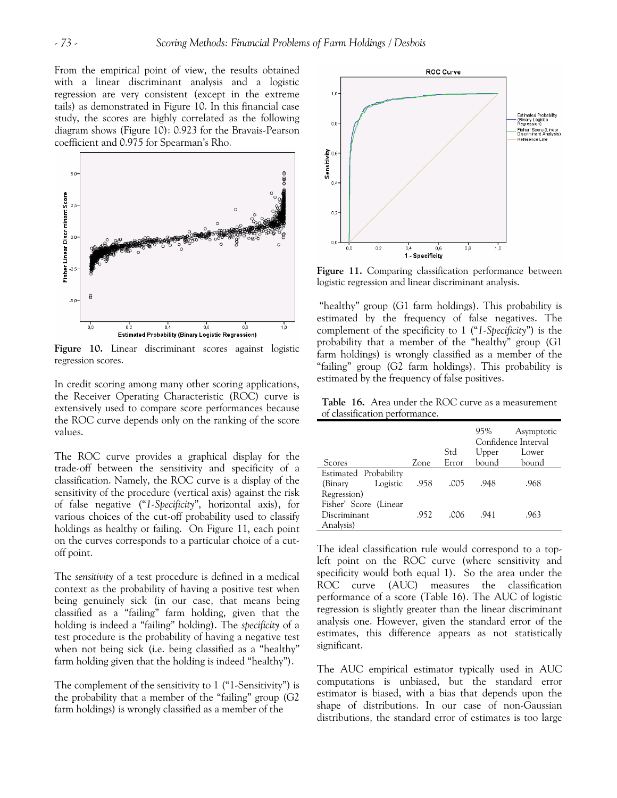From the empirical point of view, the results obtained with a linear discriminant analysis and a logistic regression are very consistent (except in the extreme tails) as demonstrated in Figure 10. In this financial case study, the scores are highly correlated as the following diagram shows (Figure 10): 0.923 for the Bravais-Pearson coefficient and 0.975 for Spearman's Rho.



**Figure 10.** Linear discriminant scores against logistic regression scores.

In credit scoring among many other scoring applications, the Receiver Operating Characteristic (ROC) curve is extensively used to compare score performances because the ROC curve depends only on the ranking of the score values.

The ROC curve provides a graphical display for the trade-off between the sensitivity and specificity of a classification. Namely, the ROC curve is a display of the sensitivity of the procedure (vertical axis) against the risk of false negative ("*1-Specificity*", horizontal axis), for various choices of the cut-off probability used to classify holdings as healthy or failing. On Figure 11, each point on the curves corresponds to a particular choice of a cutoff point.

The *sensitivity* of a test procedure is defined in a medical context as the probability of having a positive test when being genuinely sick (in our case, that means being classified as a "failing" farm holding, given that the holding is indeed a "failing" holding). The *specificity* of a test procedure is the probability of having a negative test when not being sick (i.e. being classified as a "healthy" farm holding given that the holding is indeed "healthy").

The complement of the sensitivity to 1 ("1-Sensitivity") is the probability that a member of the "failing" group (G2 farm holdings) is wrongly classified as a member of the



**Figure 11.** Comparing classification performance between logistic regression and linear discriminant analysis.

 "healthy" group (G1 farm holdings). This probability is estimated by the frequency of false negatives. The complement of the specificity to 1 ("*1-Specificity*") is the probability that a member of the "healthy" group (G1 farm holdings) is wrongly classified as a member of the "failing" group (G2 farm holdings). This probability is estimated by the frequency of false positives.

**Table 16.** Area under the ROC curve as a measurement of classification performance.

|                       |      |       | 95%   | Asymptotic<br>Confidence Interval |
|-----------------------|------|-------|-------|-----------------------------------|
|                       |      | Std   | Upper | Lower                             |
| Scores                | Zone | Error | bound | bound                             |
| Estimated Probability |      |       |       |                                   |
| Logistic<br>(Binary   | .958 | .005  | .948  | .968                              |
| Regression)           |      |       |       |                                   |
| Fisher' Score (Linear |      |       |       |                                   |
| Discriminant          | .952 | .006  | .941  | .963                              |
| Analysis)             |      |       |       |                                   |

The ideal classification rule would correspond to a topleft point on the ROC curve (where sensitivity and specificity would both equal 1). So the area under the ROC curve (AUC) measures the classification performance of a score (Table 16). The AUC of logistic regression is slightly greater than the linear discriminant analysis one. However, given the standard error of the estimates, this difference appears as not statistically significant.

The AUC empirical estimator typically used in AUC computations is unbiased, but the standard error estimator is biased, with a bias that depends upon the shape of distributions. In our case of non-Gaussian distributions, the standard error of estimates is too large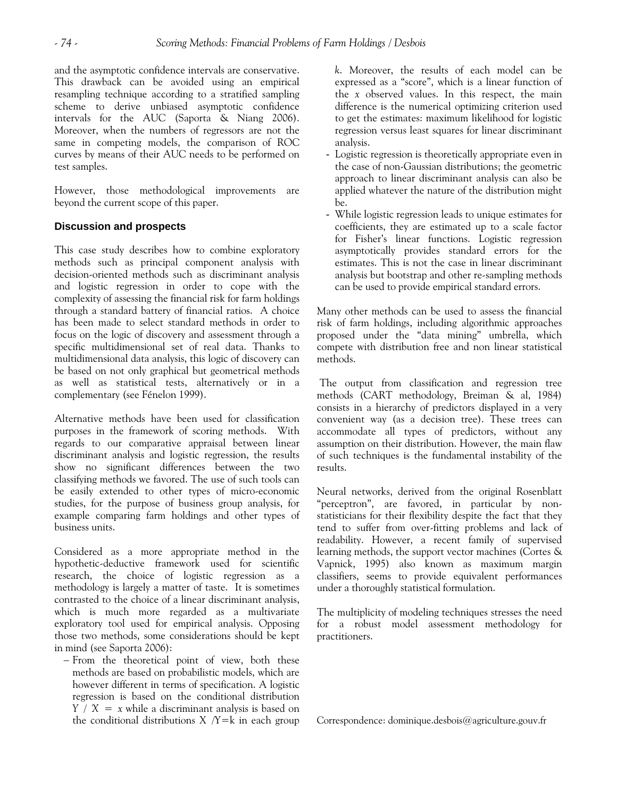and the asymptotic confidence intervals are conservative. This drawback can be avoided using an empirical resampling technique according to a stratified sampling scheme to derive unbiased asymptotic confidence intervals for the AUC (Saporta & Niang 2006). Moreover, when the numbers of regressors are not the same in competing models, the comparison of ROC curves by means of their AUC needs to be performed on test samples.

However, those methodological improvements are beyond the current scope of this paper.

# **Discussion and prospects**

This case study describes how to combine exploratory methods such as principal component analysis with decision-oriented methods such as discriminant analysis and logistic regression in order to cope with the complexity of assessing the financial risk for farm holdings through a standard battery of financial ratios. A choice has been made to select standard methods in order to focus on the logic of discovery and assessment through a specific multidimensional set of real data. Thanks to multidimensional data analysis, this logic of discovery can be based on not only graphical but geometrical methods as well as statistical tests, alternatively or in a complementary (see Fénelon 1999).

Alternative methods have been used for classification purposes in the framework of scoring methods. With regards to our comparative appraisal between linear discriminant analysis and logistic regression, the results show no significant differences between the two classifying methods we favored. The use of such tools can be easily extended to other types of micro-economic studies, for the purpose of business group analysis, for example comparing farm holdings and other types of business units.

Considered as a more appropriate method in the hypothetic-deductive framework used for scientific research, the choice of logistic regression as a methodology is largely a matter of taste. It is sometimes contrasted to the choice of a linear discriminant analysis, which is much more regarded as a multivariate exploratory tool used for empirical analysis. Opposing those two methods, some considerations should be kept in mind (see Saporta 2006):

− From the theoretical point of view, both these methods are based on probabilistic models, which are however different in terms of specification. A logistic regression is based on the conditional distribution *Y / X = x* while a discriminant analysis is based on the conditional distributions  $X / Y = k$  in each group *k*. Moreover, the results of each model can be expressed as a "score", which is a linear function of the *x* observed values. In this respect, the main difference is the numerical optimizing criterion used to get the estimates: maximum likelihood for logistic regression versus least squares for linear discriminant analysis.

- Logistic regression is theoretically appropriate even in the case of non-Gaussian distributions; the geometric approach to linear discriminant analysis can also be applied whatever the nature of the distribution might be.
- While logistic regression leads to unique estimates for coefficients, they are estimated up to a scale factor for Fisher's linear functions. Logistic regression asymptotically provides standard errors for the estimates. This is not the case in linear discriminant analysis but bootstrap and other re-sampling methods can be used to provide empirical standard errors.

Many other methods can be used to assess the financial risk of farm holdings, including algorithmic approaches proposed under the "data mining" umbrella, which compete with distribution free and non linear statistical methods.

 The output from classification and regression tree methods (CART methodology, Breiman & al, 1984) consists in a hierarchy of predictors displayed in a very convenient way (as a decision tree). These trees can accommodate all types of predictors, without any assumption on their distribution. However, the main flaw of such techniques is the fundamental instability of the results.

Neural networks, derived from the original Rosenblatt "perceptron", are favored, in particular by nonstatisticians for their flexibility despite the fact that they tend to suffer from over-fitting problems and lack of readability. However, a recent family of supervised learning methods, the support vector machines (Cortes & Vapnick, 1995) also known as maximum margin classifiers, seems to provide equivalent performances under a thoroughly statistical formulation.

The multiplicity of modeling techniques stresses the need for a robust model assessment methodology for practitioners.

Correspondence: [dominique.desbois@agriculture.gouv.fr](mailto:dominique.desbois@agriculture.gouv.fr)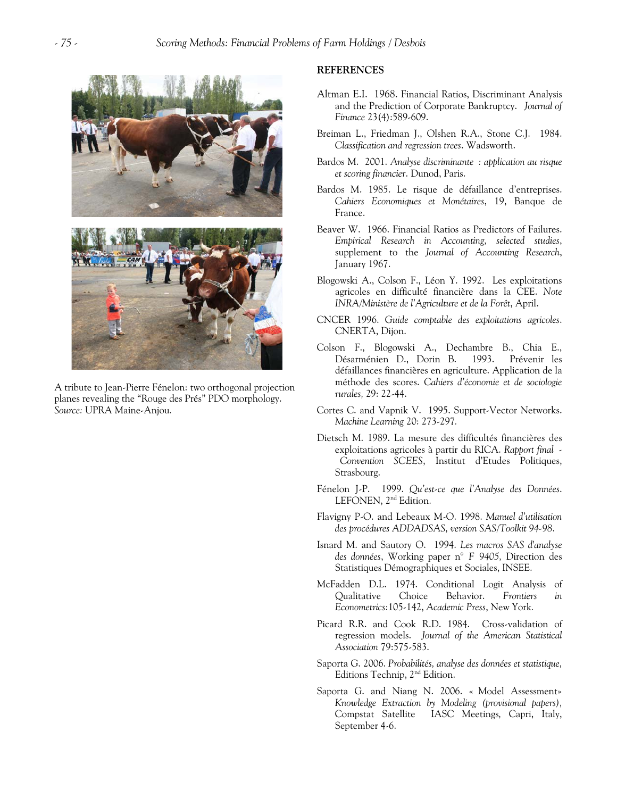

A tribute to Jean-Pierre Fénelon: two orthogonal projection planes revealing the "Rouge des Prés" PDO morphology. *Source:* UPRA Maine-Anjou*.*

#### **REFERENCES**

- Altman E.I. 1968. Financial Ratios, Discriminant Analysis and the Prediction of Corporate Bankruptcy. *Journal of Finance* 23(4):589-609.
- Breiman L., Friedman J., Olshen R.A., Stone C.J. 1984. *Classification and regression trees*. Wadsworth.
- Bardos M. 2001. *Analyse discriminante : application au risque et scoring financier*. Dunod, Paris.
- Bardos M. 1985. Le risque de défaillance d'entreprises. *Cahiers Economiques et Monétaires*, 19, Banque de France.
- Beaver W. 1966. Financial Ratios as Predictors of Failures. *Empirical Research in Accounting, selected studies*, supplement to the *Journal of Accounting Research*, January 1967.
- Blogowski A., Colson F., Léon Y. 1992. Les exploitations agricoles en difficulté financière dans la CEE. *Note INRA/Ministère de l'Agriculture et de la Forêt*, April.
- CNCER 1996. *Guide comptable des exploitations agricoles*. CNERTA, Dijon.
- Colson F., Blogowski A., Dechambre B., Chia E., Désarménien D., Dorin B. 1993. Prévenir les défaillances financières en agriculture. Application de la méthode des scores. *Cahiers d'économie et de sociologie rurales,* 29: 22-44.
- Cortes C. and Vapnik V. 1995. Support-Vector Networks. *Machine Learning* 20: 273-297*.*
- Dietsch M. 1989. La mesure des difficultés financières des exploitations agricoles à partir du RICA. *Rapport final - Convention SCEES*, Institut d'Etudes Politiques, Strasbourg.
- Fénelon J-P. 1999. *Qu'est-ce que l'Analyse des Données*. LEFONEN, 2<sup>nd</sup> Edition.
- Flavigny P-O. and Lebeaux M-O. 1998. *Manuel d'utilisation des procédures ADDADSAS, version SAS/Toolkit 94-98*.
- Isnard M. and Sautory O. 1994. *Les macros SAS d'analyse des données*, Working paper n° *F 9405,* Direction des Statistiques Démographiques et Sociales, INSEE.
- McFadden D.L. 1974. Conditional Logit Analysis of Qualitative Choice Behavior. *Frontiers in Econometrics*:105-142, *Academic Press*, New York*.*
- Picard R.R. and Cook R.D. 1984. Cross-validation of regression models. *Journal of the American Statistical Association* 79:575-583.
- Saporta G. 2006. *Probabilités, analyse des données et statistique,*  Editions Technip, 2nd Edition.
- Saporta G. and Niang N. 2006. « Model Assessment» *Knowledge Extraction by Modeling (provisional papers),*  Compstat Satellite IASC Meetings*,* Capri, Italy, September 4-6.